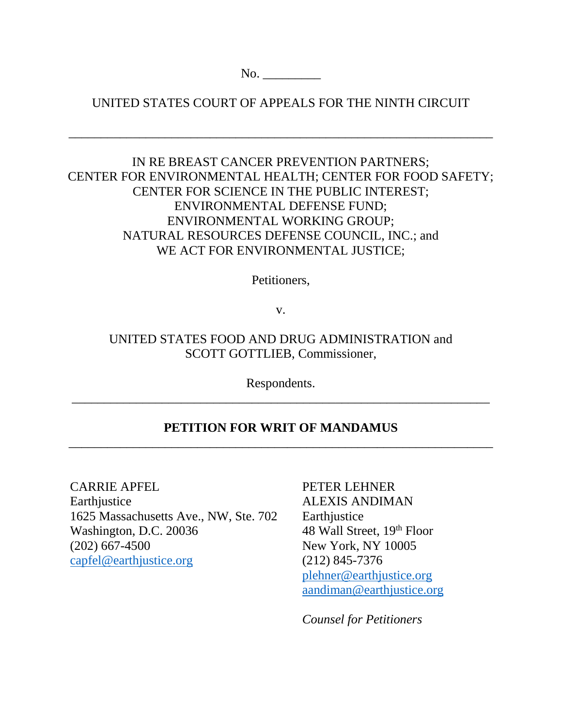No.

UNITED STATES COURT OF APPEALS FOR THE NINTH CIRCUIT

\_\_\_\_\_\_\_\_\_\_\_\_\_\_\_\_\_\_\_\_\_\_\_\_\_\_\_\_\_\_\_\_\_\_\_\_\_\_\_\_\_\_\_\_\_\_\_\_\_\_\_\_\_\_\_\_\_\_\_\_\_\_\_\_\_\_

## IN RE BREAST CANCER PREVENTION PARTNERS; CENTER FOR ENVIRONMENTAL HEALTH; CENTER FOR FOOD SAFETY; CENTER FOR SCIENCE IN THE PUBLIC INTEREST; ENVIRONMENTAL DEFENSE FUND; ENVIRONMENTAL WORKING GROUP; NATURAL RESOURCES DEFENSE COUNCIL, INC.; and WE ACT FOR ENVIRONMENTAL JUSTICE;

Petitioners,

v.

# UNITED STATES FOOD AND DRUG ADMINISTRATION and SCOTT GOTTLIEB, Commissioner,

Respondents. \_\_\_\_\_\_\_\_\_\_\_\_\_\_\_\_\_\_\_\_\_\_\_\_\_\_\_\_\_\_\_\_\_\_\_\_\_\_\_\_\_\_\_\_\_\_\_\_\_\_\_\_\_\_\_\_\_\_\_\_\_\_\_\_\_

## **PETITION FOR WRIT OF MANDAMUS**   $\overline{a}$  , and the contribution of the contribution of the contribution of the contribution of the contribution of  $\overline{a}$

CARRIE APFEL **Earthjustice** 1625 Massachusetts Ave., NW, Ste. 702

Washington, D.C. 20036 (202) 667-4500 capfel@earthjustice.org

PETER LEHNER ALEXIS ANDIMAN **Earth** justice 48 Wall Street, 19th Floor New York, NY 10005 (212) 845-7376 plehner@earthjustice.org aandiman@earthjustice.org

*Counsel for Petitioners*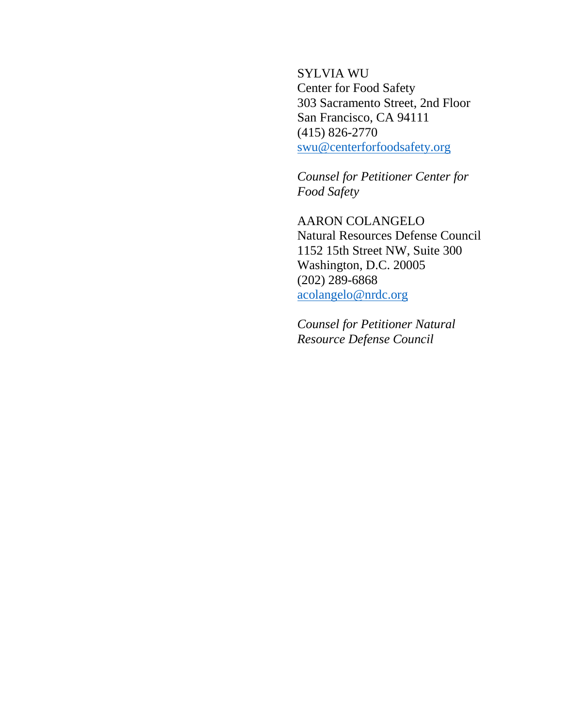SYLVIA WU Center for Food Safety 303 Sacramento Street, 2nd Floor San Francisco, CA 94111 (415) 826-2770 swu@centerforfoodsafety.org

*Counsel for Petitioner Center for Food Safety*

AARON COLANGELO Natural Resources Defense Council 1152 15th Street NW, Suite 300 Washington, D.C. 20005 (202) 289-6868 acolangelo@nrdc.org

*Counsel for Petitioner Natural Resource Defense Council*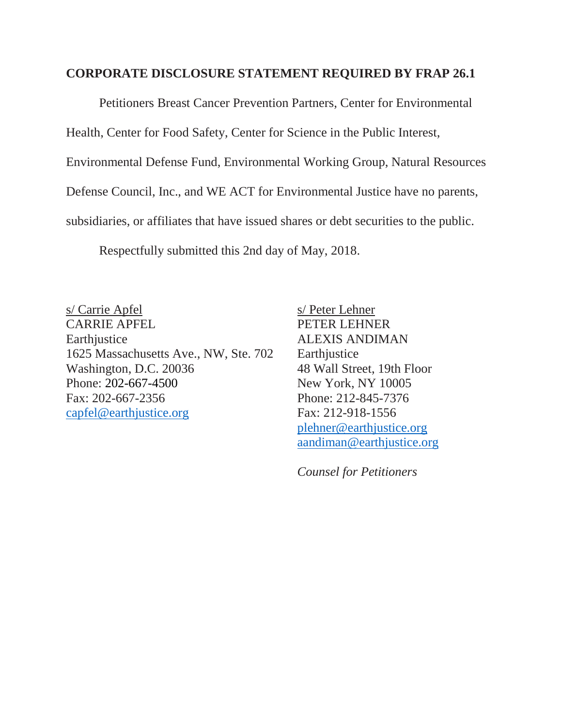### **CORPORATE DISCLOSURE STATEMENT REQUIRED BY FRAP 26.1**

Petitioners Breast Cancer Prevention Partners, Center for Environmental Health, Center for Food Safety, Center for Science in the Public Interest, Environmental Defense Fund, Environmental Working Group, Natural Resources Defense Council, Inc., and WE ACT for Environmental Justice have no parents, subsidiaries, or affiliates that have issued shares or debt securities to the public.

Respectfully submitted this 2nd day of May, 2018.

s/ Carrie Apfel s/ Peter Lehner CARRIE APFEL PETER LEHNER Earthjustice ALEXIS ANDIMAN 1625 Massachusetts Ave., NW, Ste. 702 Earthjustice Washington, D.C. 20036 48 Wall Street, 19th Floor Phone: 202-667-4500 New York, NY 10005 Fax: 202-667-2356 Phone: 212-845-7376 capfel@earthjustice.org Fax: 212-918-1556

plehner@earthjustice.org aandiman@earthjustice.org

*Counsel for Petitioners*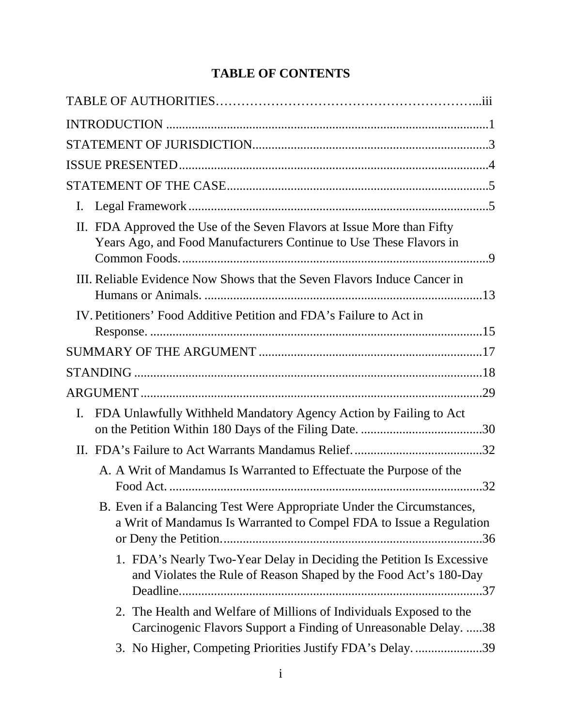# **TABLE OF CONTENTS**

| I.                                                                                                                                           |  |
|----------------------------------------------------------------------------------------------------------------------------------------------|--|
| II. FDA Approved the Use of the Seven Flavors at Issue More than Fifty<br>Years Ago, and Food Manufacturers Continue to Use These Flavors in |  |
| III. Reliable Evidence Now Shows that the Seven Flavors Induce Cancer in                                                                     |  |
| IV. Petitioners' Food Additive Petition and FDA's Failure to Act in                                                                          |  |
|                                                                                                                                              |  |
|                                                                                                                                              |  |
|                                                                                                                                              |  |
| FDA Unlawfully Withheld Mandatory Agency Action by Failing to Act<br>I.                                                                      |  |
|                                                                                                                                              |  |
| A. A Writ of Mandamus Is Warranted to Effectuate the Purpose of the                                                                          |  |
| B. Even if a Balancing Test Were Appropriate Under the Circumstances,<br>a Writ of Mandamus Is Warranted to Compel FDA to Issue a Regulation |  |
| 1. FDA's Nearly Two-Year Delay in Deciding the Petition Is Excessive<br>and Violates the Rule of Reason Shaped by the Food Act's 180-Day     |  |
| 2. The Health and Welfare of Millions of Individuals Exposed to the<br>Carcinogenic Flavors Support a Finding of Unreasonable Delay. 38      |  |
| 3. No Higher, Competing Priorities Justify FDA's Delay39                                                                                     |  |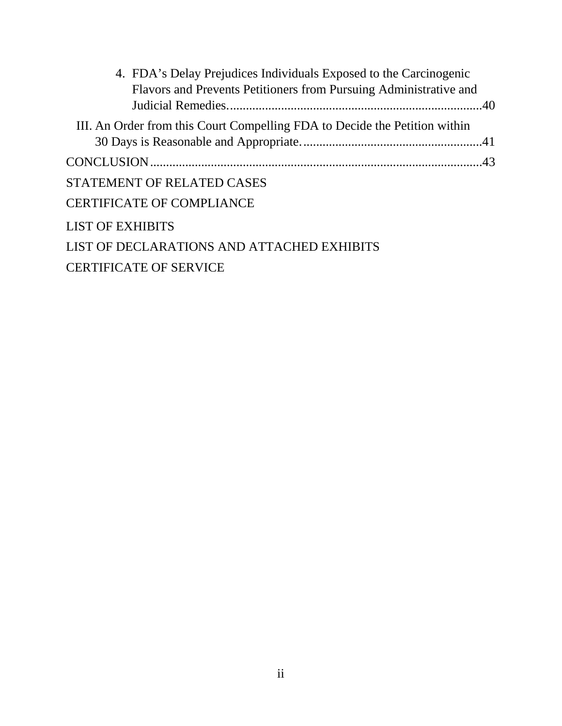| 4. FDA's Delay Prejudices Individuals Exposed to the Carcinogenic          |  |
|----------------------------------------------------------------------------|--|
| Flavors and Prevents Petitioners from Pursuing Administrative and          |  |
|                                                                            |  |
| III. An Order from this Court Compelling FDA to Decide the Petition within |  |
|                                                                            |  |
|                                                                            |  |
| STATEMENT OF RELATED CASES                                                 |  |
| <b>CERTIFICATE OF COMPLIANCE</b>                                           |  |
| <b>LIST OF EXHIBITS</b>                                                    |  |
| LIST OF DECLARATIONS AND ATTACHED EXHIBITS                                 |  |
| <b>CERTIFICATE OF SERVICE</b>                                              |  |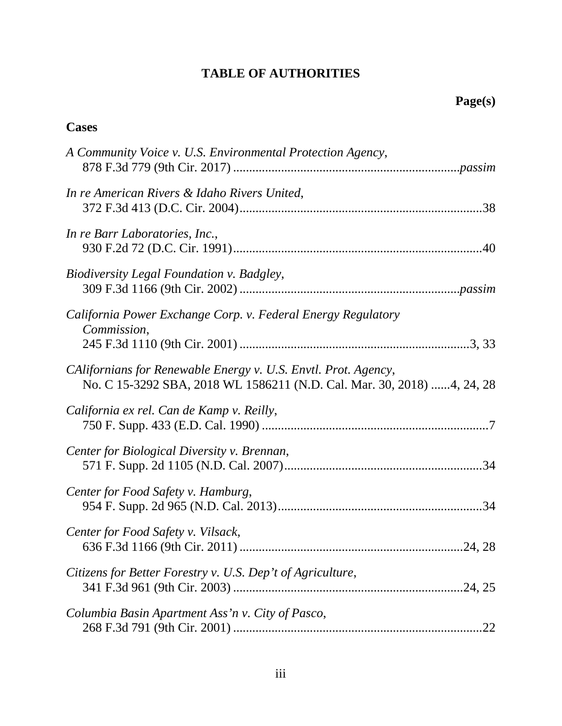# **TABLE OF AUTHORITIES**

## **Cases**

| A Community Voice v. U.S. Environmental Protection Agency,                                                                               |
|------------------------------------------------------------------------------------------------------------------------------------------|
| In re American Rivers & Idaho Rivers United,                                                                                             |
| In re Barr Laboratories, Inc.,                                                                                                           |
| Biodiversity Legal Foundation v. Badgley,                                                                                                |
| California Power Exchange Corp. v. Federal Energy Regulatory<br>Commission,                                                              |
| CAlifornians for Renewable Energy v. U.S. Envtl. Prot. Agency,<br>No. C 15-3292 SBA, 2018 WL 1586211 (N.D. Cal. Mar. 30, 2018) 4, 24, 28 |
| California ex rel. Can de Kamp v. Reilly,                                                                                                |
| Center for Biological Diversity v. Brennan,                                                                                              |
| Center for Food Safety v. Hamburg,                                                                                                       |
| Center for Food Safety v. Vilsack,                                                                                                       |
| Citizens for Better Forestry v. U.S. Dep't of Agriculture,                                                                               |
| Columbia Basin Apartment Ass'n v. City of Pasco,<br>22                                                                                   |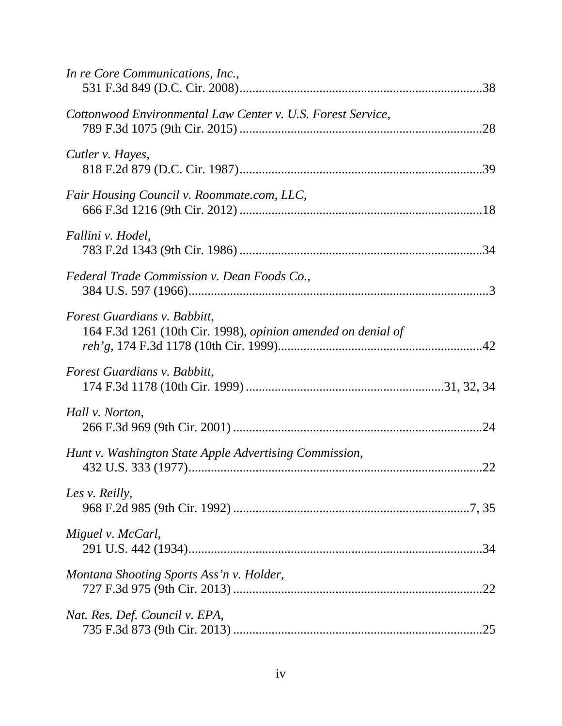| In re Core Communications, Inc.,                                                             |  |
|----------------------------------------------------------------------------------------------|--|
| Cottonwood Environmental Law Center v. U.S. Forest Service,                                  |  |
| Cutler v. Hayes,                                                                             |  |
| Fair Housing Council v. Roommate.com, LLC,                                                   |  |
| Fallini v. Hodel,                                                                            |  |
| Federal Trade Commission v. Dean Foods Co.,                                                  |  |
| Forest Guardians v. Babbitt,<br>164 F.3d 1261 (10th Cir. 1998), opinion amended on denial of |  |
| Forest Guardians v. Babbitt,                                                                 |  |
| Hall v. Norton,                                                                              |  |
| Hunt v. Washington State Apple Advertising Commission,                                       |  |
| Les v. Reilly,                                                                               |  |
| Miguel v. McCarl,                                                                            |  |
| Montana Shooting Sports Ass'n v. Holder,                                                     |  |
| Nat. Res. Def. Council v. EPA,                                                               |  |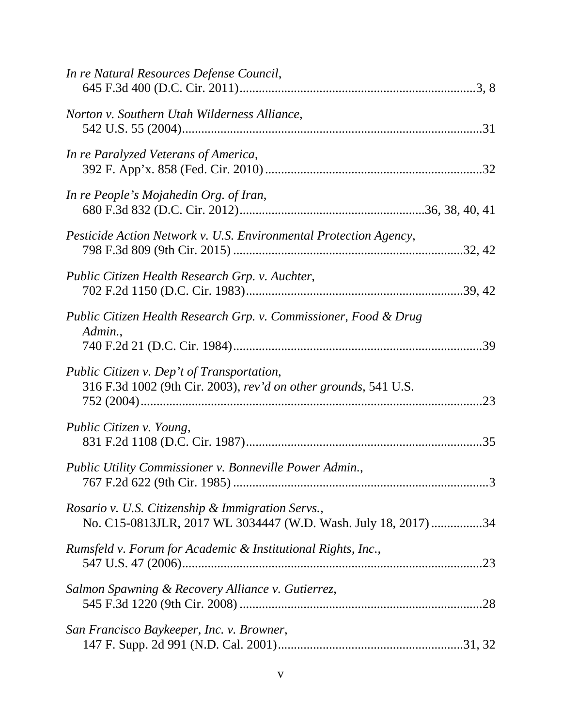| In re Natural Resources Defense Council,                                                                            |  |
|---------------------------------------------------------------------------------------------------------------------|--|
| Norton v. Southern Utah Wilderness Alliance,                                                                        |  |
| In re Paralyzed Veterans of America,                                                                                |  |
| In re People's Mojahedin Org. of Iran,                                                                              |  |
| Pesticide Action Network v. U.S. Environmental Protection Agency,                                                   |  |
| Public Citizen Health Research Grp. v. Auchter,                                                                     |  |
| Public Citizen Health Research Grp. v. Commissioner, Food & Drug<br>Admin.,                                         |  |
| Public Citizen v. Dep't of Transportation,<br>316 F.3d 1002 (9th Cir. 2003), rev'd on other grounds, 541 U.S.       |  |
| Public Citizen v. Young,                                                                                            |  |
| Public Utility Commissioner v. Bonneville Power Admin.,                                                             |  |
| Rosario v. U.S. Citizenship & Immigration Servs.,<br>No. C15-0813JLR, 2017 WL 3034447 (W.D. Wash. July 18, 2017) 34 |  |
| Rumsfeld v. Forum for Academic & Institutional Rights, Inc.,                                                        |  |
| Salmon Spawning & Recovery Alliance v. Gutierrez,                                                                   |  |
| San Francisco Baykeeper, Inc. v. Browner,                                                                           |  |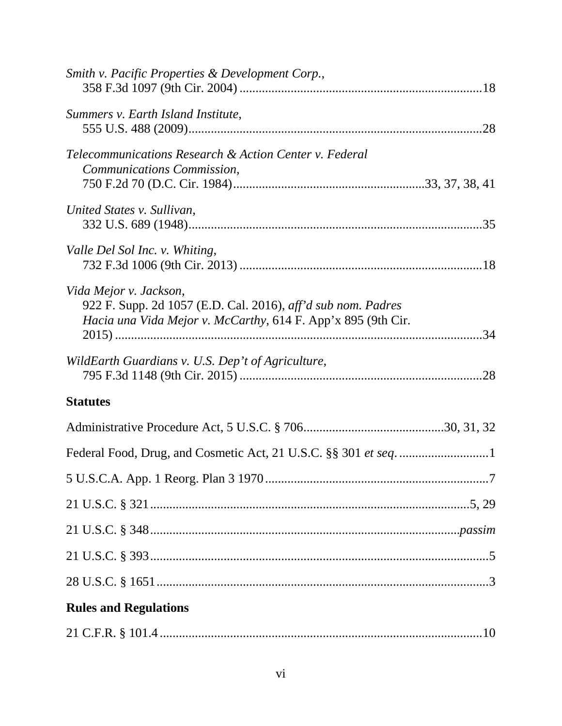| Smith v. Pacific Properties & Development Corp.,                                                                                                       |  |
|--------------------------------------------------------------------------------------------------------------------------------------------------------|--|
| Summers v. Earth Island Institute,                                                                                                                     |  |
| Telecommunications Research & Action Center v. Federal<br>Communications Commission,                                                                   |  |
| United States v. Sullivan,                                                                                                                             |  |
| Valle Del Sol Inc. v. Whiting,                                                                                                                         |  |
| Vida Mejor v. Jackson,<br>922 F. Supp. 2d 1057 (E.D. Cal. 2016), aff'd sub nom. Padres<br>Hacia una Vida Mejor v. McCarthy, 614 F. App'x 895 (9th Cir. |  |
| WildEarth Guardians v. U.S. Dep't of Agriculture,                                                                                                      |  |
| <b>Statutes</b>                                                                                                                                        |  |
|                                                                                                                                                        |  |
|                                                                                                                                                        |  |
|                                                                                                                                                        |  |
|                                                                                                                                                        |  |
|                                                                                                                                                        |  |
|                                                                                                                                                        |  |
|                                                                                                                                                        |  |
| <b>Rules and Regulations</b>                                                                                                                           |  |
|                                                                                                                                                        |  |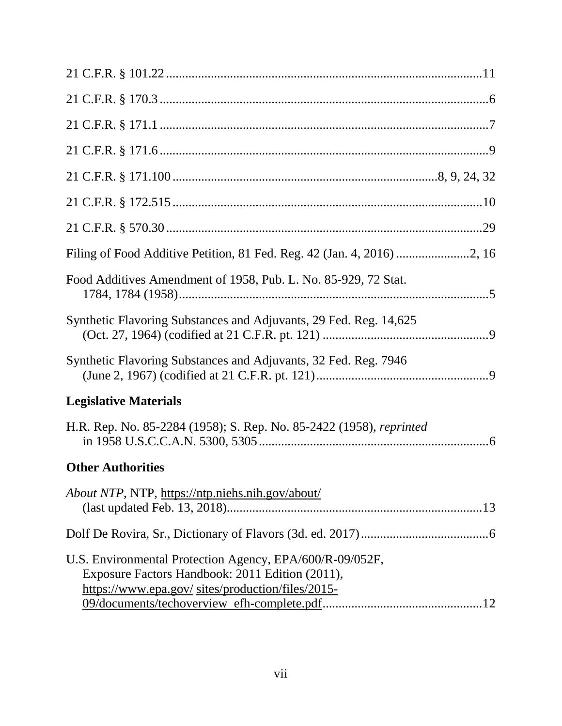| Food Additives Amendment of 1958, Pub. L. No. 85-929, 72 Stat.                                                                                                   |
|------------------------------------------------------------------------------------------------------------------------------------------------------------------|
| Synthetic Flavoring Substances and Adjuvants, 29 Fed. Reg. 14,625                                                                                                |
| Synthetic Flavoring Substances and Adjuvants, 32 Fed. Reg. 7946                                                                                                  |
| <b>Legislative Materials</b>                                                                                                                                     |
| H.R. Rep. No. 85-2284 (1958); S. Rep. No. 85-2422 (1958), reprinted                                                                                              |
| <b>Other Authorities</b>                                                                                                                                         |
| About NTP, NTP, https://ntp.niehs.nih.gov/about/                                                                                                                 |
|                                                                                                                                                                  |
| U.S. Environmental Protection Agency, EPA/600/R-09/052F,<br>Exposure Factors Handbook: 2011 Edition (2011),<br>https://www.epa.gov/ sites/production/files/2015- |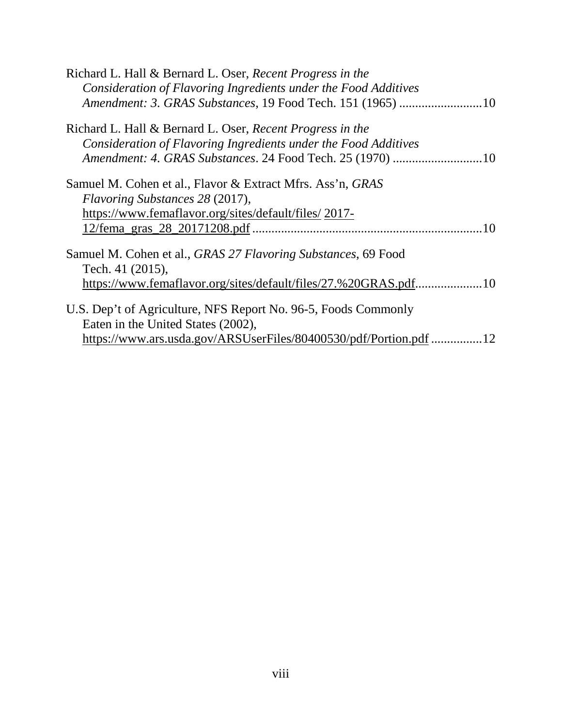| Richard L. Hall & Bernard L. Oser, Recent Progress in the<br>Consideration of Flavoring Ingredients under the Food Additives |
|------------------------------------------------------------------------------------------------------------------------------|
| Amendment: 3. GRAS Substances, 19 Food Tech. 151 (1965) 10                                                                   |
|                                                                                                                              |
| Richard L. Hall & Bernard L. Oser, Recent Progress in the                                                                    |
| Consideration of Flavoring Ingredients under the Food Additives                                                              |
| Amendment: 4. GRAS Substances. 24 Food Tech. 25 (1970) 10                                                                    |
|                                                                                                                              |
| Samuel M. Cohen et al., Flavor & Extract Mfrs. Ass'n, GRAS                                                                   |
| Flavoring Substances 28 (2017),                                                                                              |
| https://www.femaflavor.org/sites/default/files/2017-                                                                         |
|                                                                                                                              |
|                                                                                                                              |
| Samuel M. Cohen et al., <i>GRAS 27 Flavoring Substances</i> , 69 Food                                                        |
| Tech. 41 (2015),                                                                                                             |
| https://www.femaflavor.org/sites/default/files/27.%20GRAS.pdf10                                                              |
|                                                                                                                              |
| U.S. Dep't of Agriculture, NFS Report No. 96-5, Foods Commonly                                                               |
| Eaten in the United States (2002),                                                                                           |
| https://www.ars.usda.gov/ARSUserFiles/80400530/pdf/Portion.pdf 12                                                            |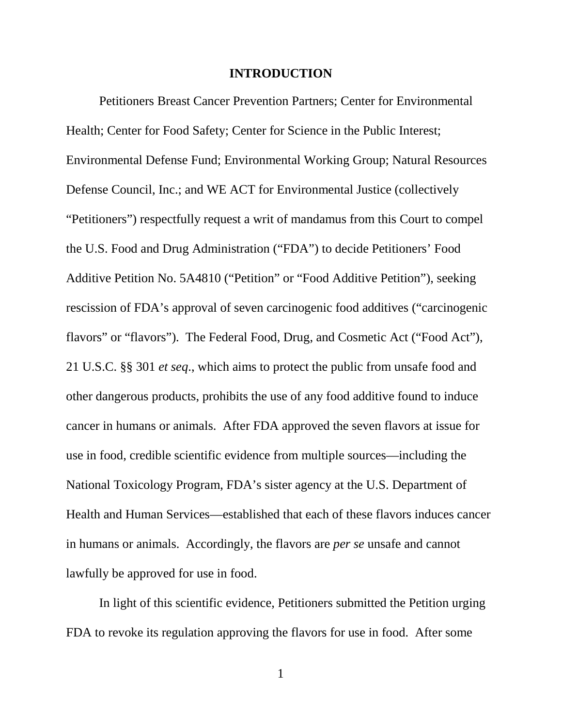#### **INTRODUCTION**

Petitioners Breast Cancer Prevention Partners; Center for Environmental Health; Center for Food Safety; Center for Science in the Public Interest; Environmental Defense Fund; Environmental Working Group; Natural Resources Defense Council, Inc.; and WE ACT for Environmental Justice (collectively "Petitioners") respectfully request a writ of mandamus from this Court to compel the U.S. Food and Drug Administration ("FDA") to decide Petitioners' Food Additive Petition No. 5A4810 ("Petition" or "Food Additive Petition"), seeking rescission of FDA's approval of seven carcinogenic food additives ("carcinogenic flavors" or "flavors"). The Federal Food, Drug, and Cosmetic Act ("Food Act"), 21 U.S.C. §§ 301 *et seq*., which aims to protect the public from unsafe food and other dangerous products, prohibits the use of any food additive found to induce cancer in humans or animals. After FDA approved the seven flavors at issue for use in food, credible scientific evidence from multiple sources—including the National Toxicology Program, FDA's sister agency at the U.S. Department of Health and Human Services—established that each of these flavors induces cancer in humans or animals. Accordingly, the flavors are *per se* unsafe and cannot lawfully be approved for use in food.

In light of this scientific evidence, Petitioners submitted the Petition urging FDA to revoke its regulation approving the flavors for use in food. After some

1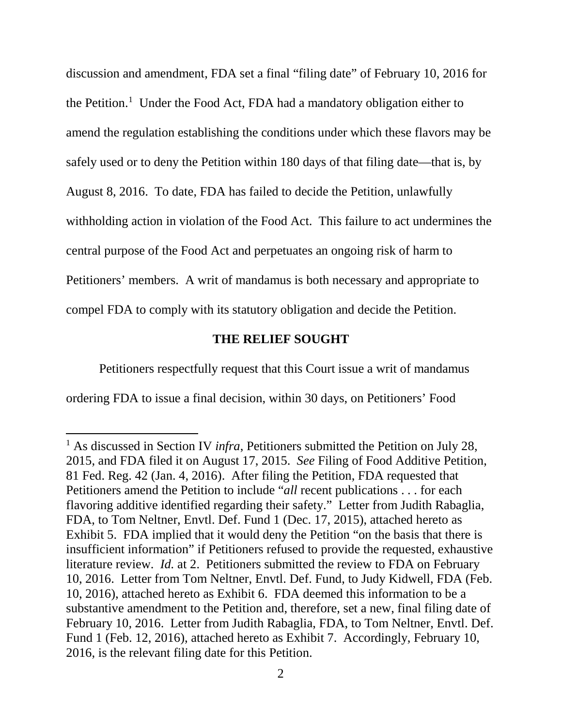discussion and amendment, FDA set a final "filing date" of February 10, 2016 for the Petition. 1 Under the Food Act, FDA had a mandatory obligation either to amend the regulation establishing the conditions under which these flavors may be safely used or to deny the Petition within 180 days of that filing date—that is, by August 8, 2016. To date, FDA has failed to decide the Petition, unlawfully withholding action in violation of the Food Act. This failure to act undermines the central purpose of the Food Act and perpetuates an ongoing risk of harm to Petitioners' members. A writ of mandamus is both necessary and appropriate to compel FDA to comply with its statutory obligation and decide the Petition.

### **THE RELIEF SOUGHT**

Petitioners respectfully request that this Court issue a writ of mandamus

ordering FDA to issue a final decision, within 30 days, on Petitioners' Food

 $\overline{\phantom{a}}$ 

<sup>1</sup> As discussed in Section IV *infra*, Petitioners submitted the Petition on July 28, 2015, and FDA filed it on August 17, 2015. *See* Filing of Food Additive Petition, 81 Fed. Reg. 42 (Jan. 4, 2016). After filing the Petition, FDA requested that Petitioners amend the Petition to include "*all* recent publications . . . for each flavoring additive identified regarding their safety." Letter from Judith Rabaglia, FDA, to Tom Neltner, Envtl. Def. Fund 1 (Dec. 17, 2015), attached hereto as Exhibit 5. FDA implied that it would deny the Petition "on the basis that there is insufficient information" if Petitioners refused to provide the requested, exhaustive literature review. *Id.* at 2. Petitioners submitted the review to FDA on February 10, 2016. Letter from Tom Neltner, Envtl. Def. Fund, to Judy Kidwell, FDA (Feb. 10, 2016), attached hereto as Exhibit 6. FDA deemed this information to be a substantive amendment to the Petition and, therefore, set a new, final filing date of February 10, 2016. Letter from Judith Rabaglia, FDA, to Tom Neltner, Envtl. Def. Fund 1 (Feb. 12, 2016), attached hereto as Exhibit 7. Accordingly, February 10, 2016, is the relevant filing date for this Petition.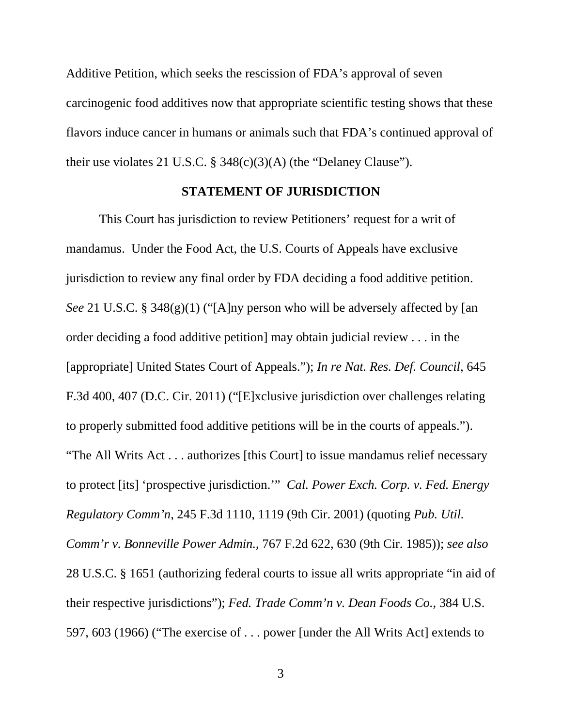Additive Petition, which seeks the rescission of FDA's approval of seven carcinogenic food additives now that appropriate scientific testing shows that these flavors induce cancer in humans or animals such that FDA's continued approval of their use violates 21 U.S.C. § 348(c)(3)(A) (the "Delaney Clause").

#### **STATEMENT OF JURISDICTION**

This Court has jurisdiction to review Petitioners' request for a writ of mandamus. Under the Food Act, the U.S. Courts of Appeals have exclusive jurisdiction to review any final order by FDA deciding a food additive petition. *See* 21 U.S.C. § 348(g)(1) ("[A]ny person who will be adversely affected by [an order deciding a food additive petition] may obtain judicial review . . . in the [appropriate] United States Court of Appeals."); *In re Nat. Res. Def. Council*, 645 F.3d 400, 407 (D.C. Cir. 2011) ("[E]xclusive jurisdiction over challenges relating to properly submitted food additive petitions will be in the courts of appeals."). "The All Writs Act . . . authorizes [this Court] to issue mandamus relief necessary to protect [its] 'prospective jurisdiction.'" *Cal. Power Exch. Corp. v. Fed. Energy Regulatory Comm'n*, 245 F.3d 1110, 1119 (9th Cir. 2001) (quoting *Pub. Util. Comm'r v. Bonneville Power Admin.*, 767 F.2d 622, 630 (9th Cir. 1985)); *see also* 28 U.S.C. § 1651 (authorizing federal courts to issue all writs appropriate "in aid of their respective jurisdictions"); *Fed. Trade Comm'n v. Dean Foods Co.*, 384 U.S. 597, 603 (1966) ("The exercise of . . . power [under the All Writs Act] extends to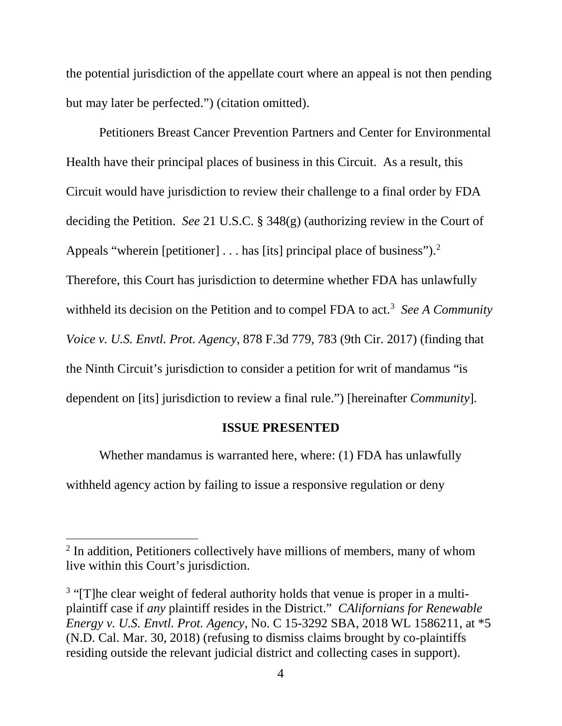the potential jurisdiction of the appellate court where an appeal is not then pending but may later be perfected.") (citation omitted).

Petitioners Breast Cancer Prevention Partners and Center for Environmental Health have their principal places of business in this Circuit. As a result, this Circuit would have jurisdiction to review their challenge to a final order by FDA deciding the Petition. *See* 21 U.S.C. § 348(g) (authorizing review in the Court of Appeals "wherein [petitioner]  $\dots$  has [its] principal place of business").<sup>2</sup> Therefore, this Court has jurisdiction to determine whether FDA has unlawfully withheld its decision on the Petition and to compel FDA to act.<sup>3</sup> See A Community *Voice v. U.S. Envtl. Prot. Agency*, 878 F.3d 779, 783 (9th Cir. 2017) (finding that the Ninth Circuit's jurisdiction to consider a petition for writ of mandamus "is dependent on [its] jurisdiction to review a final rule.") [hereinafter *Community*].

### **ISSUE PRESENTED**

Whether mandamus is warranted here, where: (1) FDA has unlawfully withheld agency action by failing to issue a responsive regulation or deny

 $\overline{\phantom{a}}$ 

<sup>&</sup>lt;sup>2</sup> In addition, Petitioners collectively have millions of members, many of whom live within this Court's jurisdiction.

<sup>&</sup>lt;sup>3</sup> "[T]he clear weight of federal authority holds that venue is proper in a multiplaintiff case if *any* plaintiff resides in the District." *CAlifornians for Renewable Energy v. U.S. Envtl. Prot. Agency*, No. C 15-3292 SBA, 2018 WL 1586211, at \*5 (N.D. Cal. Mar. 30, 2018) (refusing to dismiss claims brought by co-plaintiffs residing outside the relevant judicial district and collecting cases in support).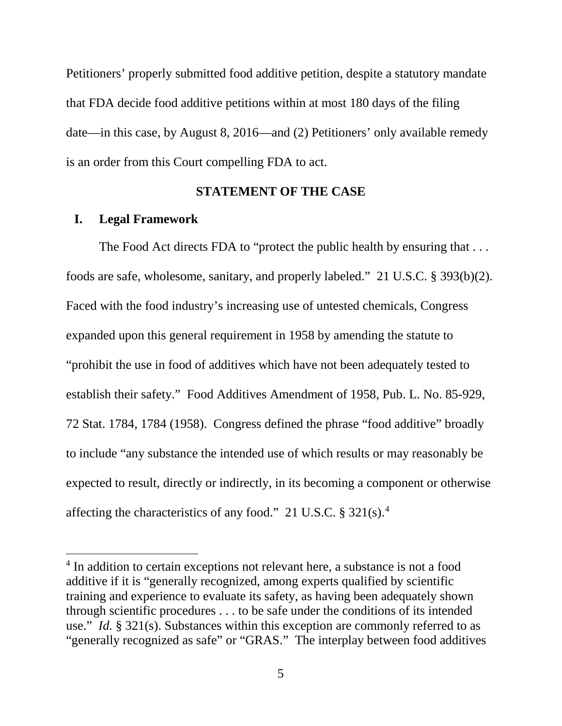Petitioners' properly submitted food additive petition, despite a statutory mandate that FDA decide food additive petitions within at most 180 days of the filing date—in this case, by August 8, 2016—and (2) Petitioners' only available remedy is an order from this Court compelling FDA to act.

#### **STATEMENT OF THE CASE**

#### **I. Legal Framework**

l

The Food Act directs FDA to "protect the public health by ensuring that ... foods are safe, wholesome, sanitary, and properly labeled." 21 U.S.C. § 393(b)(2). Faced with the food industry's increasing use of untested chemicals, Congress expanded upon this general requirement in 1958 by amending the statute to "prohibit the use in food of additives which have not been adequately tested to establish their safety." Food Additives Amendment of 1958, Pub. L. No. 85-929, 72 Stat. 1784, 1784 (1958). Congress defined the phrase "food additive" broadly to include "any substance the intended use of which results or may reasonably be expected to result, directly or indirectly, in its becoming a component or otherwise affecting the characteristics of any food." 21 U.S.C.  $\S 321(s).$ <sup>4</sup>

<sup>&</sup>lt;sup>4</sup> In addition to certain exceptions not relevant here, a substance is not a food additive if it is "generally recognized, among experts qualified by scientific training and experience to evaluate its safety, as having been adequately shown through scientific procedures . . . to be safe under the conditions of its intended use." *Id.* § 321(s). Substances within this exception are commonly referred to as "generally recognized as safe" or "GRAS." The interplay between food additives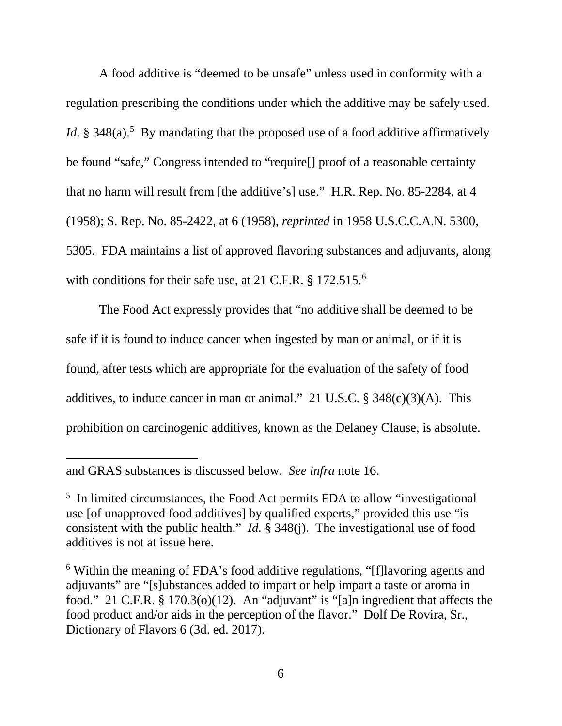A food additive is "deemed to be unsafe" unless used in conformity with a regulation prescribing the conditions under which the additive may be safely used. *Id*. § 348(a).<sup>5</sup> By mandating that the proposed use of a food additive affirmatively be found "safe," Congress intended to "require[] proof of a reasonable certainty that no harm will result from [the additive's] use." H.R. Rep. No. 85-2284, at 4 (1958); S. Rep. No. 85-2422, at 6 (1958), *reprinted* in 1958 U.S.C.C.A.N. 5300, 5305. FDA maintains a list of approved flavoring substances and adjuvants, along with conditions for their safe use, at 21 C.F.R. § 172.515.<sup>6</sup>

The Food Act expressly provides that "no additive shall be deemed to be safe if it is found to induce cancer when ingested by man or animal, or if it is found, after tests which are appropriate for the evaluation of the safety of food additives, to induce cancer in man or animal." 21 U.S.C.  $\S$  348(c)(3)(A). This prohibition on carcinogenic additives, known as the Delaney Clause, is absolute.

 $\overline{\phantom{a}}$ 

and GRAS substances is discussed below. *See infra* note 16.

<sup>&</sup>lt;sup>5</sup> In limited circumstances, the Food Act permits FDA to allow "investigational" use [of unapproved food additives] by qualified experts," provided this use "is consistent with the public health." *Id.* § 348(j). The investigational use of food additives is not at issue here.

<sup>6</sup> Within the meaning of FDA's food additive regulations, "[f]lavoring agents and adjuvants" are "[s]ubstances added to impart or help impart a taste or aroma in food." 21 C.F.R. § 170.3(o)(12). An "adjuvant" is "[a]n ingredient that affects the food product and/or aids in the perception of the flavor." Dolf De Rovira, Sr., Dictionary of Flavors 6 (3d. ed. 2017).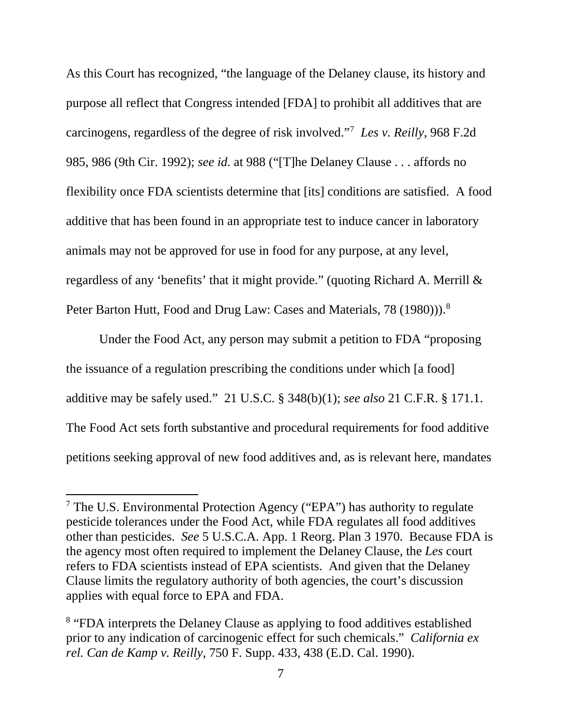As this Court has recognized, "the language of the Delaney clause, its history and purpose all reflect that Congress intended [FDA] to prohibit all additives that are carcinogens, regardless of the degree of risk involved."7 *Les v. Reilly*, 968 F.2d 985, 986 (9th Cir. 1992); *see id.* at 988 ("[T]he Delaney Clause . . . affords no flexibility once FDA scientists determine that [its] conditions are satisfied. A food additive that has been found in an appropriate test to induce cancer in laboratory animals may not be approved for use in food for any purpose, at any level, regardless of any 'benefits' that it might provide." (quoting Richard A. Merrill & Peter Barton Hutt, Food and Drug Law: Cases and Materials, 78 (1980))).<sup>8</sup>

Under the Food Act, any person may submit a petition to FDA "proposing the issuance of a regulation prescribing the conditions under which [a food] additive may be safely used." 21 U.S.C. § 348(b)(1); *see also* 21 C.F.R. § 171.1. The Food Act sets forth substantive and procedural requirements for food additive petitions seeking approval of new food additives and, as is relevant here, mandates

<sup>7</sup> The U.S. Environmental Protection Agency ("EPA") has authority to regulate pesticide tolerances under the Food Act, while FDA regulates all food additives other than pesticides. *See* 5 U.S.C.A. App. 1 Reorg. Plan 3 1970. Because FDA is the agency most often required to implement the Delaney Clause, the *Les* court refers to FDA scientists instead of EPA scientists. And given that the Delaney Clause limits the regulatory authority of both agencies, the court's discussion applies with equal force to EPA and FDA.

<sup>&</sup>lt;sup>8</sup> "FDA interprets the Delaney Clause as applying to food additives established prior to any indication of carcinogenic effect for such chemicals." *California ex rel. Can de Kamp v. Reilly*, 750 F. Supp. 433, 438 (E.D. Cal. 1990).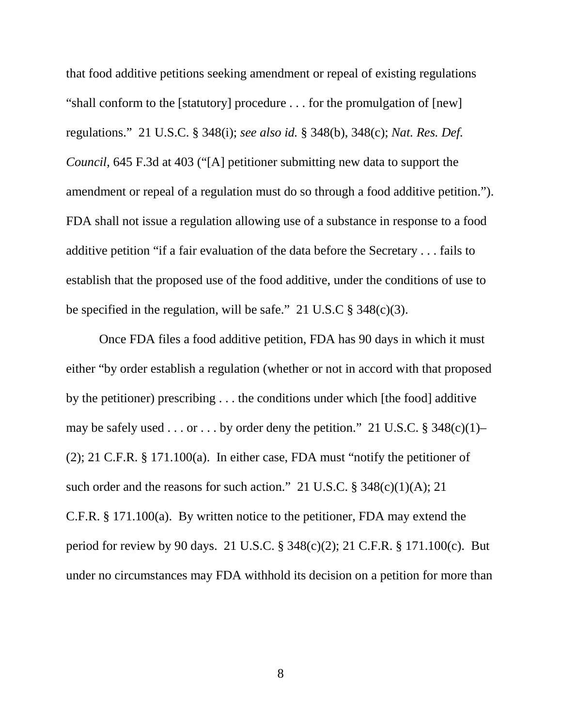that food additive petitions seeking amendment or repeal of existing regulations "shall conform to the [statutory] procedure . . . for the promulgation of [new] regulations." 21 U.S.C. § 348(i); *see also id.* § 348(b), 348(c); *Nat. Res. Def. Council*, 645 F.3d at 403 ("[A] petitioner submitting new data to support the amendment or repeal of a regulation must do so through a food additive petition."). FDA shall not issue a regulation allowing use of a substance in response to a food additive petition "if a fair evaluation of the data before the Secretary . . . fails to establish that the proposed use of the food additive, under the conditions of use to be specified in the regulation, will be safe."  $21 \text{ U.S. C} \text{ } \$348(c)(3)$ .

Once FDA files a food additive petition, FDA has 90 days in which it must either "by order establish a regulation (whether or not in accord with that proposed by the petitioner) prescribing . . . the conditions under which [the food] additive may be safely used  $\dots$  or  $\dots$  by order deny the petition." 21 U.S.C. § 348(c)(1)– (2); 21 C.F.R. § 171.100(a). In either case, FDA must "notify the petitioner of such order and the reasons for such action." 21 U.S.C. § 348(c)(1)(A); 21 C.F.R. § 171.100(a). By written notice to the petitioner, FDA may extend the period for review by 90 days. 21 U.S.C. § 348(c)(2); 21 C.F.R. § 171.100(c). But under no circumstances may FDA withhold its decision on a petition for more than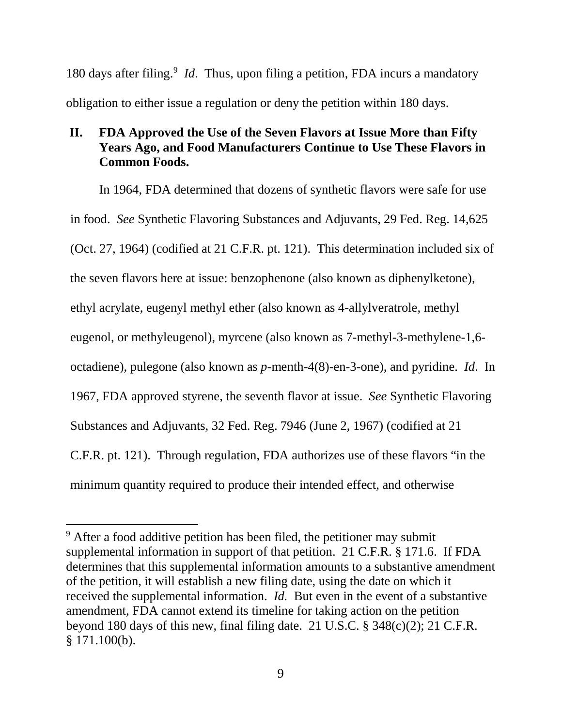180 days after filing. <sup>9</sup> *Id*. Thus, upon filing a petition, FDA incurs a mandatory obligation to either issue a regulation or deny the petition within 180 days.

## **II. FDA Approved the Use of the Seven Flavors at Issue More than Fifty Years Ago, and Food Manufacturers Continue to Use These Flavors in Common Foods.**

In 1964, FDA determined that dozens of synthetic flavors were safe for use in food. *See* Synthetic Flavoring Substances and Adjuvants, 29 Fed. Reg. 14,625 (Oct. 27, 1964) (codified at 21 C.F.R. pt. 121). This determination included six of the seven flavors here at issue: benzophenone (also known as diphenylketone), ethyl acrylate, eugenyl methyl ether (also known as 4-allylveratrole, methyl eugenol, or methyleugenol), myrcene (also known as 7-methyl-3-methylene-1,6 octadiene), pulegone (also known as *p*-menth-4(8)-en-3-one), and pyridine. *Id*. In 1967, FDA approved styrene, the seventh flavor at issue. *See* Synthetic Flavoring Substances and Adjuvants, 32 Fed. Reg. 7946 (June 2, 1967) (codified at 21 C.F.R. pt. 121). Through regulation, FDA authorizes use of these flavors "in the minimum quantity required to produce their intended effect, and otherwise

l

<sup>&</sup>lt;sup>9</sup> After a food additive petition has been filed, the petitioner may submit supplemental information in support of that petition. 21 C.F.R. § 171.6. If FDA determines that this supplemental information amounts to a substantive amendment of the petition, it will establish a new filing date, using the date on which it received the supplemental information. *Id.* But even in the event of a substantive amendment, FDA cannot extend its timeline for taking action on the petition beyond 180 days of this new, final filing date. 21 U.S.C. § 348(c)(2); 21 C.F.R. § 171.100(b).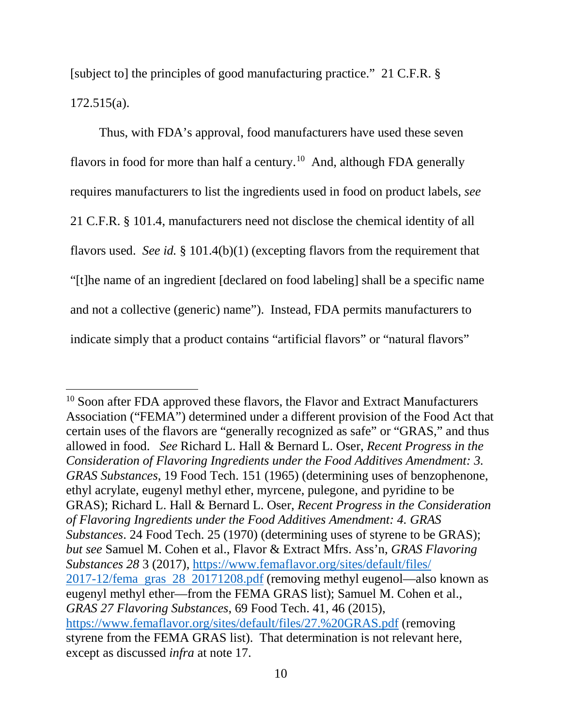[subject to] the principles of good manufacturing practice." 21 C.F.R. § 172.515(a).

Thus, with FDA's approval, food manufacturers have used these seven flavors in food for more than half a century.<sup>10</sup> And, although FDA generally requires manufacturers to list the ingredients used in food on product labels, *see*  21 C.F.R. § 101.4, manufacturers need not disclose the chemical identity of all flavors used. *See id.* § 101.4(b)(1) (excepting flavors from the requirement that "[t]he name of an ingredient [declared on food labeling] shall be a specific name and not a collective (generic) name"). Instead, FDA permits manufacturers to indicate simply that a product contains "artificial flavors" or "natural flavors"

 $\overline{\phantom{a}}$ 

<sup>&</sup>lt;sup>10</sup> Soon after FDA approved these flavors, the Flavor and Extract Manufacturers Association ("FEMA") determined under a different provision of the Food Act that certain uses of the flavors are "generally recognized as safe" or "GRAS," and thus allowed in food. *See* Richard L. Hall & Bernard L. Oser, *Recent Progress in the Consideration of Flavoring Ingredients under the Food Additives Amendment: 3. GRAS Substances*, 19 Food Tech. 151 (1965) (determining uses of benzophenone, ethyl acrylate, eugenyl methyl ether, myrcene, pulegone, and pyridine to be GRAS); Richard L. Hall & Bernard L. Oser, *Recent Progress in the Consideration of Flavoring Ingredients under the Food Additives Amendment: 4. GRAS Substances*. 24 Food Tech. 25 (1970) (determining uses of styrene to be GRAS); *but see* Samuel M. Cohen et al., Flavor & Extract Mfrs. Ass'n, *GRAS Flavoring Substances 28* 3 (2017), https://www.femaflavor.org/sites/default/files/ 2017-12/fema gras 28 20171208.pdf (removing methyl eugenol—also known as eugenyl methyl ether—from the FEMA GRAS list); Samuel M. Cohen et al., *GRAS 27 Flavoring Substances*, 69 Food Tech. 41, 46 (2015), https://www.femaflavor.org/sites/default/files/27.%20GRAS.pdf (removing styrene from the FEMA GRAS list). That determination is not relevant here, except as discussed *infra* at note 17.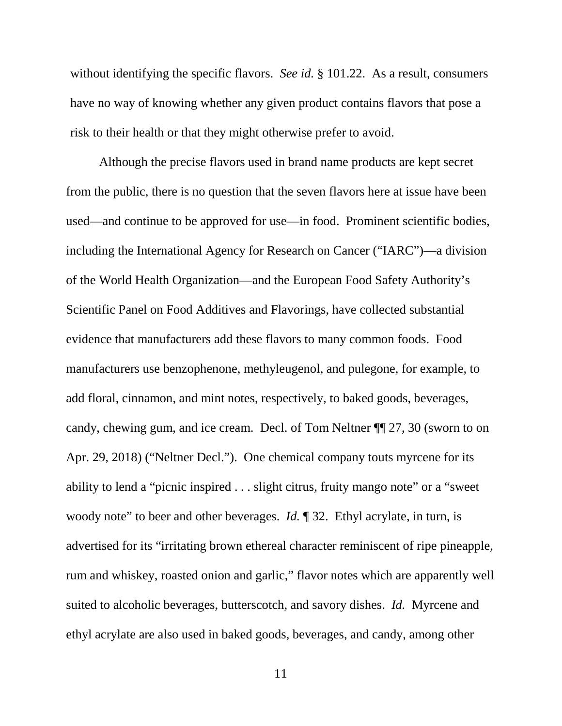without identifying the specific flavors. *See id.* § 101.22. As a result, consumers have no way of knowing whether any given product contains flavors that pose a risk to their health or that they might otherwise prefer to avoid.

Although the precise flavors used in brand name products are kept secret from the public, there is no question that the seven flavors here at issue have been used—and continue to be approved for use—in food. Prominent scientific bodies, including the International Agency for Research on Cancer ("IARC")—a division of the World Health Organization—and the European Food Safety Authority's Scientific Panel on Food Additives and Flavorings, have collected substantial evidence that manufacturers add these flavors to many common foods. Food manufacturers use benzophenone, methyleugenol, and pulegone, for example, to add floral, cinnamon, and mint notes, respectively, to baked goods, beverages, candy, chewing gum, and ice cream. Decl. of Tom Neltner ¶¶ 27, 30 (sworn to on Apr. 29, 2018) ("Neltner Decl."). One chemical company touts myrcene for its ability to lend a "picnic inspired . . . slight citrus, fruity mango note" or a "sweet woody note" to beer and other beverages. *Id.* 132. Ethyl acrylate, in turn, is advertised for its "irritating brown ethereal character reminiscent of ripe pineapple, rum and whiskey, roasted onion and garlic," flavor notes which are apparently well suited to alcoholic beverages, butterscotch, and savory dishes. *Id.* Myrcene and ethyl acrylate are also used in baked goods, beverages, and candy, among other

11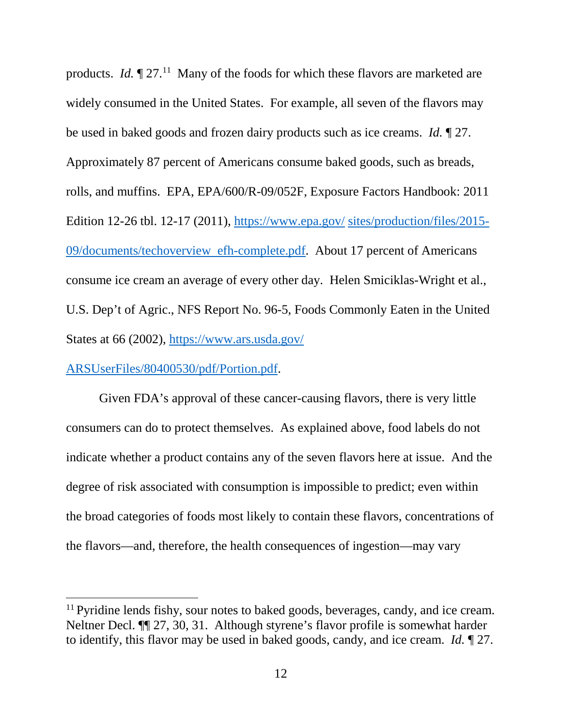products. *Id.*  $\P$  27.<sup>11</sup> Many of the foods for which these flavors are marketed are widely consumed in the United States. For example, all seven of the flavors may be used in baked goods and frozen dairy products such as ice creams. *Id.* ¶ 27. Approximately 87 percent of Americans consume baked goods, such as breads, rolls, and muffins. EPA, EPA/600/R-09/052F, Exposure Factors Handbook: 2011 Edition 12-26 tbl. 12-17 (2011), https://www.epa.gov/ sites/production/files/2015- 09/documents/techoverview efh-complete.pdf. About 17 percent of Americans consume ice cream an average of every other day. Helen Smiciklas-Wright et al., U.S. Dep't of Agric., NFS Report No. 96-5, Foods Commonly Eaten in the United States at 66 (2002), https://www.ars.usda.gov/

ARSUserFiles/80400530/pdf/Portion.pdf.

l

Given FDA's approval of these cancer-causing flavors, there is very little consumers can do to protect themselves. As explained above, food labels do not indicate whether a product contains any of the seven flavors here at issue. And the degree of risk associated with consumption is impossible to predict; even within the broad categories of foods most likely to contain these flavors, concentrations of the flavors—and, therefore, the health consequences of ingestion—may vary

<sup>&</sup>lt;sup>11</sup> Pyridine lends fishy, sour notes to baked goods, beverages, candy, and ice cream. Neltner Decl. ¶¶ 27, 30, 31. Although styrene's flavor profile is somewhat harder to identify, this flavor may be used in baked goods, candy, and ice cream. *Id.* ¶ 27.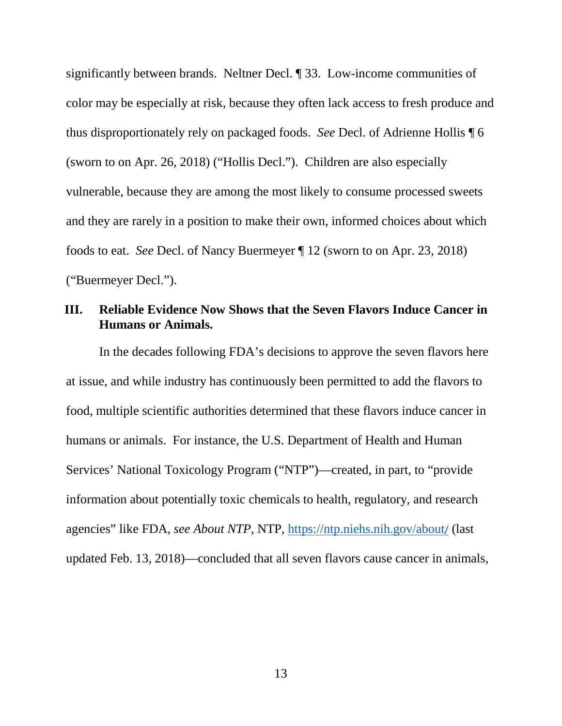significantly between brands. Neltner Decl. ¶ 33. Low-income communities of color may be especially at risk, because they often lack access to fresh produce and thus disproportionately rely on packaged foods. *See* Decl. of Adrienne Hollis ¶ 6 (sworn to on Apr. 26, 2018) ("Hollis Decl."). Children are also especially vulnerable, because they are among the most likely to consume processed sweets and they are rarely in a position to make their own, informed choices about which foods to eat. *See* Decl. of Nancy Buermeyer ¶ 12 (sworn to on Apr. 23, 2018) ("Buermeyer Decl.").

## **III. Reliable Evidence Now Shows that the Seven Flavors Induce Cancer in Humans or Animals.**

In the decades following FDA's decisions to approve the seven flavors here at issue, and while industry has continuously been permitted to add the flavors to food, multiple scientific authorities determined that these flavors induce cancer in humans or animals. For instance, the U.S. Department of Health and Human Services' National Toxicology Program ("NTP")—created, in part, to "provide information about potentially toxic chemicals to health, regulatory, and research agencies" like FDA, *see About NTP*, NTP, https://ntp.niehs.nih.gov/about/ (last updated Feb. 13, 2018)—concluded that all seven flavors cause cancer in animals,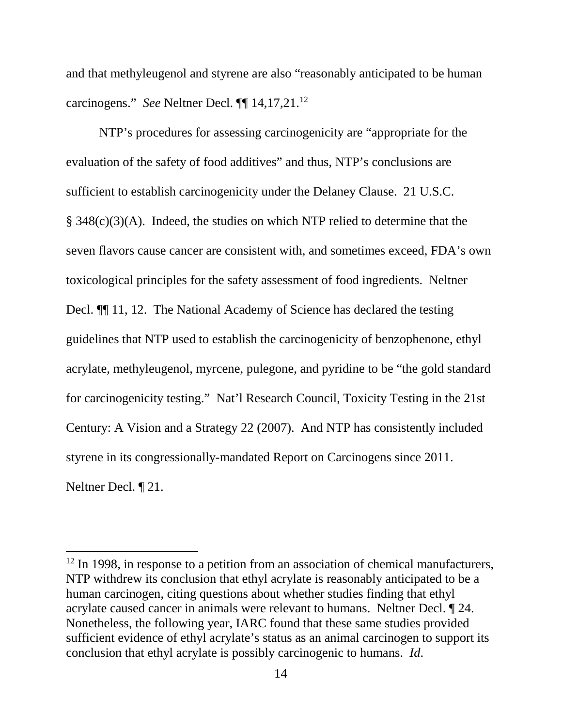and that methyleugenol and styrene are also "reasonably anticipated to be human carcinogens." *See* Neltner Decl. ¶¶ 14,17,21. 12

NTP's procedures for assessing carcinogenicity are "appropriate for the evaluation of the safety of food additives" and thus, NTP's conclusions are sufficient to establish carcinogenicity under the Delaney Clause. 21 U.S.C. § 348(c)(3)(A). Indeed, the studies on which NTP relied to determine that the seven flavors cause cancer are consistent with, and sometimes exceed, FDA's own toxicological principles for the safety assessment of food ingredients. Neltner Decl.  $\P$  11, 12. The National Academy of Science has declared the testing guidelines that NTP used to establish the carcinogenicity of benzophenone, ethyl acrylate, methyleugenol, myrcene, pulegone, and pyridine to be "the gold standard for carcinogenicity testing." Nat'l Research Council, Toxicity Testing in the 21st Century: A Vision and a Strategy 22 (2007). And NTP has consistently included styrene in its congressionally-mandated Report on Carcinogens since 2011. Neltner Decl. ¶ 21.

<sup>&</sup>lt;sup>12</sup> In 1998, in response to a petition from an association of chemical manufacturers, NTP withdrew its conclusion that ethyl acrylate is reasonably anticipated to be a human carcinogen, citing questions about whether studies finding that ethyl acrylate caused cancer in animals were relevant to humans. Neltner Decl. ¶ 24. Nonetheless, the following year, IARC found that these same studies provided sufficient evidence of ethyl acrylate's status as an animal carcinogen to support its conclusion that ethyl acrylate is possibly carcinogenic to humans. *Id*.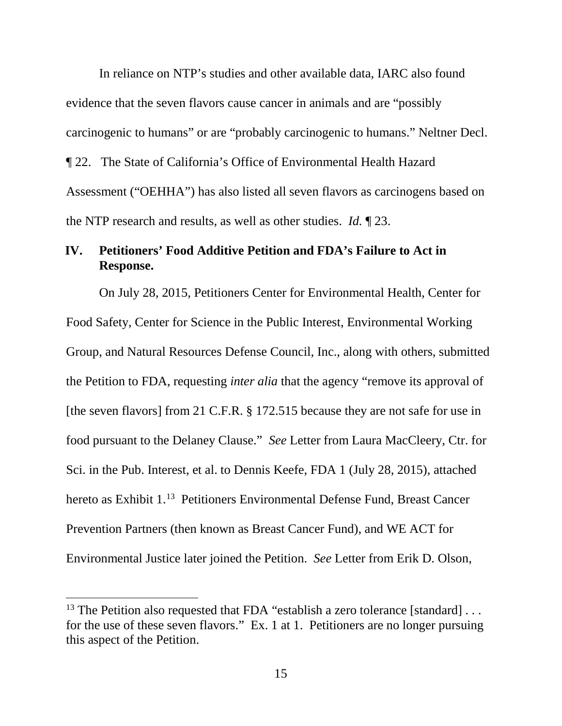In reliance on NTP's studies and other available data, IARC also found evidence that the seven flavors cause cancer in animals and are "possibly carcinogenic to humans" or are "probably carcinogenic to humans." Neltner Decl. ¶ 22. The State of California's Office of Environmental Health Hazard Assessment ("OEHHA") has also listed all seven flavors as carcinogens based on the NTP research and results, as well as other studies. *Id.* ¶ 23.

## **IV. Petitioners' Food Additive Petition and FDA's Failure to Act in Response.**

On July 28, 2015, Petitioners Center for Environmental Health, Center for Food Safety, Center for Science in the Public Interest, Environmental Working Group, and Natural Resources Defense Council, Inc., along with others, submitted the Petition to FDA, requesting *inter alia* that the agency "remove its approval of [the seven flavors] from 21 C.F.R. § 172.515 because they are not safe for use in food pursuant to the Delaney Clause." *See* Letter from Laura MacCleery, Ctr. for Sci. in the Pub. Interest, et al. to Dennis Keefe, FDA 1 (July 28, 2015), attached hereto as Exhibit 1. 13 Petitioners Environmental Defense Fund, Breast Cancer Prevention Partners (then known as Breast Cancer Fund), and WE ACT for Environmental Justice later joined the Petition. *See* Letter from Erik D. Olson,

l

<sup>&</sup>lt;sup>13</sup> The Petition also requested that FDA "establish a zero tolerance [standard]  $\dots$ for the use of these seven flavors." Ex. 1 at 1. Petitioners are no longer pursuing this aspect of the Petition.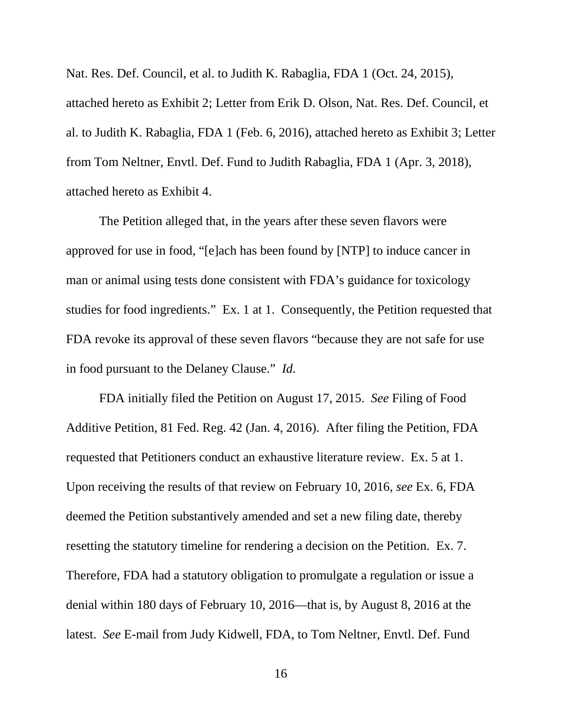Nat. Res. Def. Council, et al. to Judith K. Rabaglia, FDA 1 (Oct. 24, 2015), attached hereto as Exhibit 2; Letter from Erik D. Olson, Nat. Res. Def. Council, et al. to Judith K. Rabaglia, FDA 1 (Feb. 6, 2016), attached hereto as Exhibit 3; Letter from Tom Neltner, Envtl. Def. Fund to Judith Rabaglia, FDA 1 (Apr. 3, 2018), attached hereto as Exhibit 4.

The Petition alleged that, in the years after these seven flavors were approved for use in food, "[e]ach has been found by [NTP] to induce cancer in man or animal using tests done consistent with FDA's guidance for toxicology studies for food ingredients." Ex. 1 at 1. Consequently, the Petition requested that FDA revoke its approval of these seven flavors "because they are not safe for use in food pursuant to the Delaney Clause." *Id.*

FDA initially filed the Petition on August 17, 2015. *See* Filing of Food Additive Petition, 81 Fed. Reg. 42 (Jan. 4, 2016). After filing the Petition, FDA requested that Petitioners conduct an exhaustive literature review. Ex. 5 at 1. Upon receiving the results of that review on February 10, 2016, *see* Ex. 6, FDA deemed the Petition substantively amended and set a new filing date, thereby resetting the statutory timeline for rendering a decision on the Petition. Ex. 7. Therefore, FDA had a statutory obligation to promulgate a regulation or issue a denial within 180 days of February 10, 2016—that is, by August 8, 2016 at the latest. *See* E-mail from Judy Kidwell, FDA, to Tom Neltner, Envtl. Def. Fund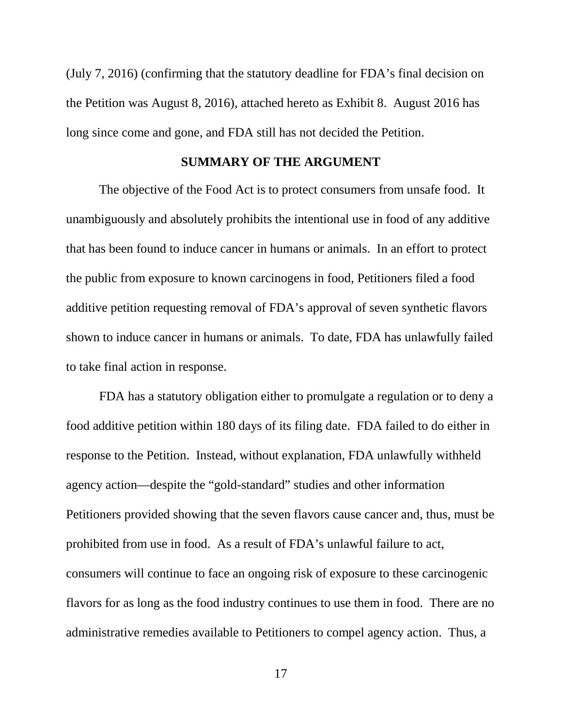(July 7, 2016) (confirming that the statutory deadline for FDA's final decision on the Petition was August 8, 2016), attached hereto as Exhibit 8. August 2016 has long since come and gone, and FDA still has not decided the Petition.

### **SUMMARY OF THE ARGUMENT**

The objective of the Food Act is to protect consumers from unsafe food. It unambiguously and absolutely prohibits the intentional use in food of any additive that has been found to induce cancer in humans or animals. In an effort to protect the public from exposure to known carcinogens in food, Petitioners filed a food additive petition requesting removal of FDA's approval of seven synthetic flavors shown to induce cancer in humans or animals. To date, FDA has unlawfully failed to take final action in response.

FDA has a statutory obligation either to promulgate a regulation or to deny a food additive petition within 180 days of its filing date. FDA failed to do either in response to the Petition. Instead, without explanation, FDA unlawfully withheld agency action—despite the "gold-standard" studies and other information Petitioners provided showing that the seven flavors cause cancer and, thus, must be prohibited from use in food. As a result of FDA's unlawful failure to act, consumers will continue to face an ongoing risk of exposure to these carcinogenic flavors for as long as the food industry continues to use them in food. There are no administrative remedies available to Petitioners to compel agency action. Thus, a

17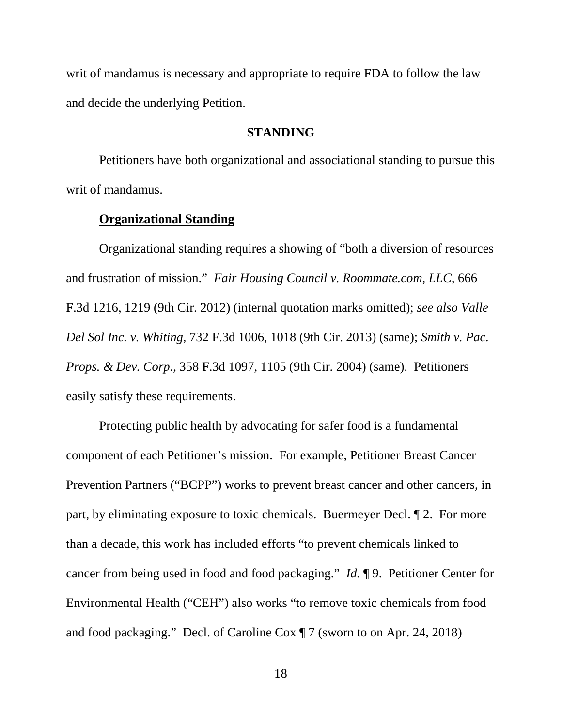writ of mandamus is necessary and appropriate to require FDA to follow the law and decide the underlying Petition.

### **STANDING**

Petitioners have both organizational and associational standing to pursue this writ of mandamus.

## **Organizational Standing**

Organizational standing requires a showing of "both a diversion of resources and frustration of mission." *Fair Housing Council v. Roommate.com, LLC*, 666 F.3d 1216, 1219 (9th Cir. 2012) (internal quotation marks omitted); *see also Valle Del Sol Inc. v. Whiting*, 732 F.3d 1006, 1018 (9th Cir. 2013) (same); *Smith v. Pac. Props. & Dev. Corp.*, 358 F.3d 1097, 1105 (9th Cir. 2004) (same). Petitioners easily satisfy these requirements.

Protecting public health by advocating for safer food is a fundamental component of each Petitioner's mission. For example, Petitioner Breast Cancer Prevention Partners ("BCPP") works to prevent breast cancer and other cancers, in part, by eliminating exposure to toxic chemicals. Buermeyer Decl. ¶ 2. For more than a decade, this work has included efforts "to prevent chemicals linked to cancer from being used in food and food packaging." *Id.* ¶ 9. Petitioner Center for Environmental Health ("CEH") also works "to remove toxic chemicals from food and food packaging." Decl. of Caroline Cox ¶ 7 (sworn to on Apr. 24, 2018)

18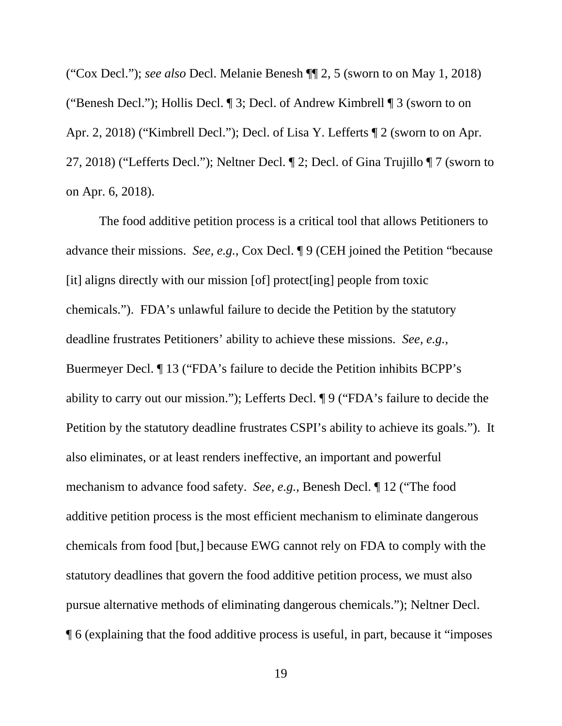("Cox Decl."); *see also* Decl. Melanie Benesh ¶¶ 2, 5 (sworn to on May 1, 2018) ("Benesh Decl."); Hollis Decl. ¶ 3; Decl. of Andrew Kimbrell ¶ 3 (sworn to on Apr. 2, 2018) ("Kimbrell Decl."); Decl. of Lisa Y. Lefferts ¶ 2 (sworn to on Apr. 27, 2018) ("Lefferts Decl."); Neltner Decl. ¶ 2; Decl. of Gina Trujillo ¶ 7 (sworn to on Apr. 6, 2018).

The food additive petition process is a critical tool that allows Petitioners to advance their missions. *See, e.g.*, Cox Decl. ¶ 9 (CEH joined the Petition "because [it] aligns directly with our mission [of] protect[ing] people from toxic chemicals."). FDA's unlawful failure to decide the Petition by the statutory deadline frustrates Petitioners' ability to achieve these missions. *See, e.g.*, Buermeyer Decl. ¶ 13 ("FDA's failure to decide the Petition inhibits BCPP's ability to carry out our mission."); Lefferts Decl. ¶ 9 ("FDA's failure to decide the Petition by the statutory deadline frustrates CSPI's ability to achieve its goals."). It also eliminates, or at least renders ineffective, an important and powerful mechanism to advance food safety. *See, e.g.*, Benesh Decl. ¶ 12 ("The food additive petition process is the most efficient mechanism to eliminate dangerous chemicals from food [but,] because EWG cannot rely on FDA to comply with the statutory deadlines that govern the food additive petition process, we must also pursue alternative methods of eliminating dangerous chemicals."); Neltner Decl. ¶ 6 (explaining that the food additive process is useful, in part, because it "imposes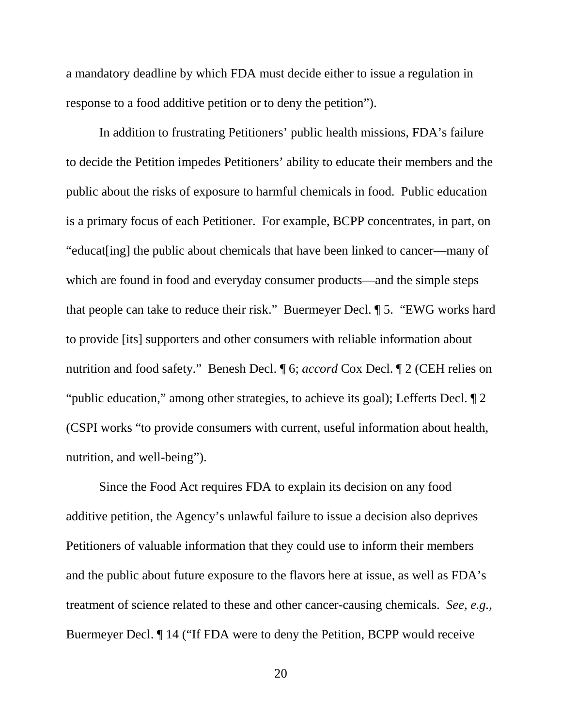a mandatory deadline by which FDA must decide either to issue a regulation in response to a food additive petition or to deny the petition").

In addition to frustrating Petitioners' public health missions, FDA's failure to decide the Petition impedes Petitioners' ability to educate their members and the public about the risks of exposure to harmful chemicals in food. Public education is a primary focus of each Petitioner. For example, BCPP concentrates, in part, on "educat[ing] the public about chemicals that have been linked to cancer—many of which are found in food and everyday consumer products—and the simple steps that people can take to reduce their risk." Buermeyer Decl. ¶ 5. "EWG works hard to provide [its] supporters and other consumers with reliable information about nutrition and food safety." Benesh Decl. ¶ 6; *accord* Cox Decl. ¶ 2 (CEH relies on "public education," among other strategies, to achieve its goal); Lefferts Decl. ¶ 2 (CSPI works "to provide consumers with current, useful information about health, nutrition, and well-being").

Since the Food Act requires FDA to explain its decision on any food additive petition, the Agency's unlawful failure to issue a decision also deprives Petitioners of valuable information that they could use to inform their members and the public about future exposure to the flavors here at issue, as well as FDA's treatment of science related to these and other cancer-causing chemicals. *See, e.g.*, Buermeyer Decl. ¶ 14 ("If FDA were to deny the Petition, BCPP would receive

20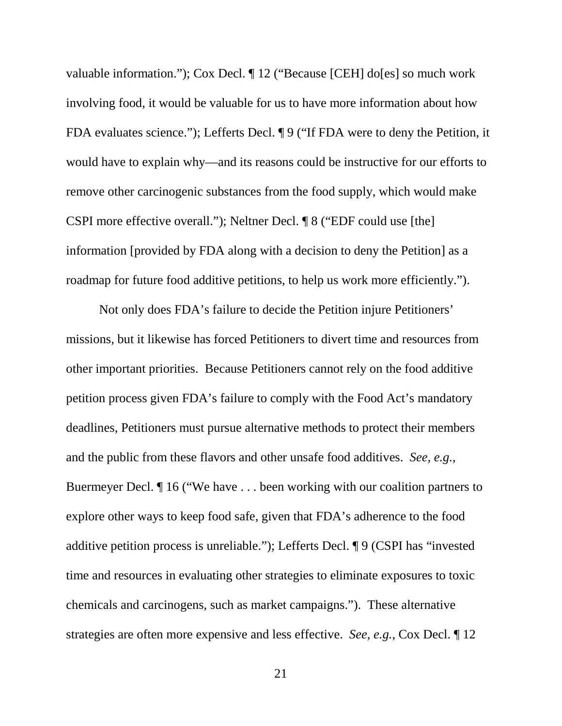valuable information."); Cox Decl. ¶ 12 ("Because [CEH] do[es] so much work involving food, it would be valuable for us to have more information about how FDA evaluates science."); Lefferts Decl. ¶ 9 ("If FDA were to deny the Petition, it would have to explain why—and its reasons could be instructive for our efforts to remove other carcinogenic substances from the food supply, which would make CSPI more effective overall."); Neltner Decl. ¶ 8 ("EDF could use [the] information [provided by FDA along with a decision to deny the Petition] as a roadmap for future food additive petitions, to help us work more efficiently.").

Not only does FDA's failure to decide the Petition injure Petitioners' missions, but it likewise has forced Petitioners to divert time and resources from other important priorities. Because Petitioners cannot rely on the food additive petition process given FDA's failure to comply with the Food Act's mandatory deadlines, Petitioners must pursue alternative methods to protect their members and the public from these flavors and other unsafe food additives. *See, e.g.*, Buermeyer Decl. ¶ 16 ("We have . . . been working with our coalition partners to explore other ways to keep food safe, given that FDA's adherence to the food additive petition process is unreliable."); Lefferts Decl. ¶ 9 (CSPI has "invested time and resources in evaluating other strategies to eliminate exposures to toxic chemicals and carcinogens, such as market campaigns."). These alternative strategies are often more expensive and less effective. *See, e.g.*, Cox Decl. ¶ 12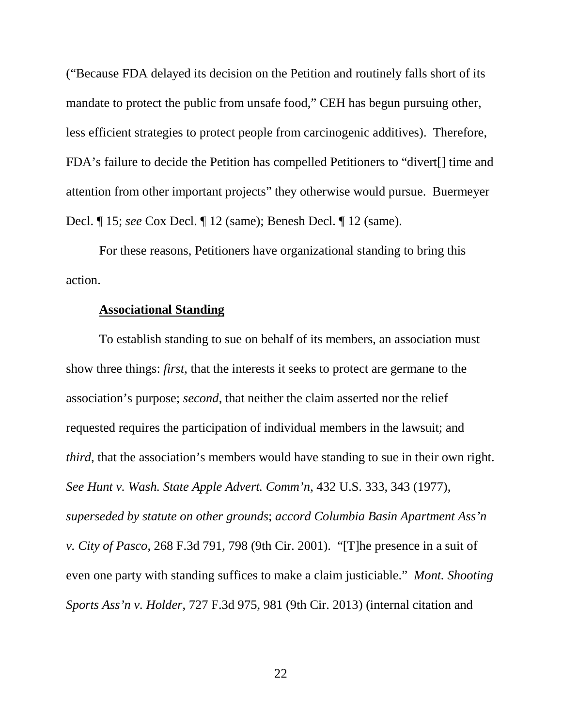("Because FDA delayed its decision on the Petition and routinely falls short of its mandate to protect the public from unsafe food," CEH has begun pursuing other, less efficient strategies to protect people from carcinogenic additives). Therefore, FDA's failure to decide the Petition has compelled Petitioners to "divert[] time and attention from other important projects" they otherwise would pursue. Buermeyer Decl. ¶ 15; *see* Cox Decl. ¶ 12 (same); Benesh Decl. ¶ 12 (same).

For these reasons, Petitioners have organizational standing to bring this action.

#### **Associational Standing**

To establish standing to sue on behalf of its members, an association must show three things: *first*, that the interests it seeks to protect are germane to the association's purpose; *second*, that neither the claim asserted nor the relief requested requires the participation of individual members in the lawsuit; and *third*, that the association's members would have standing to sue in their own right. *See Hunt v. Wash. State Apple Advert. Comm'n*, 432 U.S. 333, 343 (1977), *superseded by statute on other grounds*; *accord Columbia Basin Apartment Ass'n v. City of Pasco*, 268 F.3d 791, 798 (9th Cir. 2001). "[T]he presence in a suit of even one party with standing suffices to make a claim justiciable." *Mont. Shooting Sports Ass'n v. Holder*, 727 F.3d 975, 981 (9th Cir. 2013) (internal citation and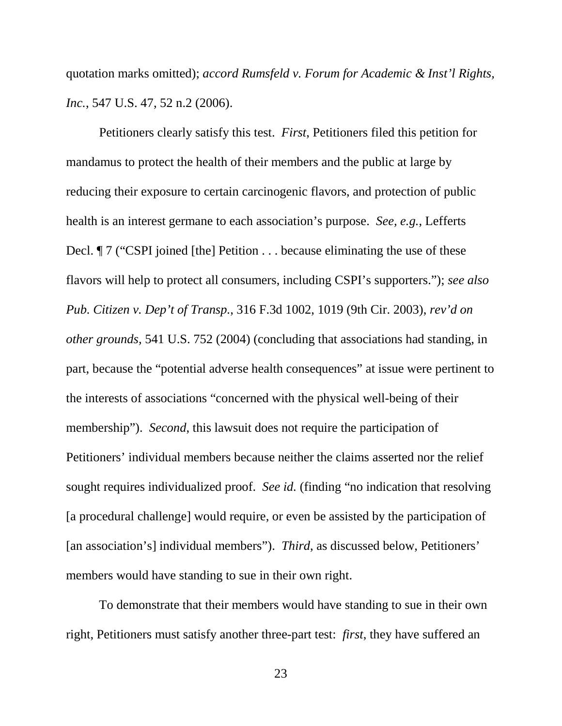quotation marks omitted); *accord Rumsfeld v. Forum for Academic & Inst'l Rights, Inc.*, 547 U.S. 47, 52 n.2 (2006).

Petitioners clearly satisfy this test. *First*, Petitioners filed this petition for mandamus to protect the health of their members and the public at large by reducing their exposure to certain carcinogenic flavors, and protection of public health is an interest germane to each association's purpose. *See, e.g.*, Lefferts Decl.  $\parallel$  7 ("CSPI joined [the] Petition . . . because eliminating the use of these flavors will help to protect all consumers, including CSPI's supporters."); *see also Pub. Citizen v. Dep't of Transp.*, 316 F.3d 1002, 1019 (9th Cir. 2003), *rev'd on other grounds,* 541 U.S. 752 (2004) (concluding that associations had standing, in part, because the "potential adverse health consequences" at issue were pertinent to the interests of associations "concerned with the physical well-being of their membership"). *Second*, this lawsuit does not require the participation of Petitioners' individual members because neither the claims asserted nor the relief sought requires individualized proof. *See id.* (finding "no indication that resolving [a procedural challenge] would require, or even be assisted by the participation of [an association's] individual members"). *Third*, as discussed below, Petitioners' members would have standing to sue in their own right.

To demonstrate that their members would have standing to sue in their own right, Petitioners must satisfy another three-part test: *first*, they have suffered an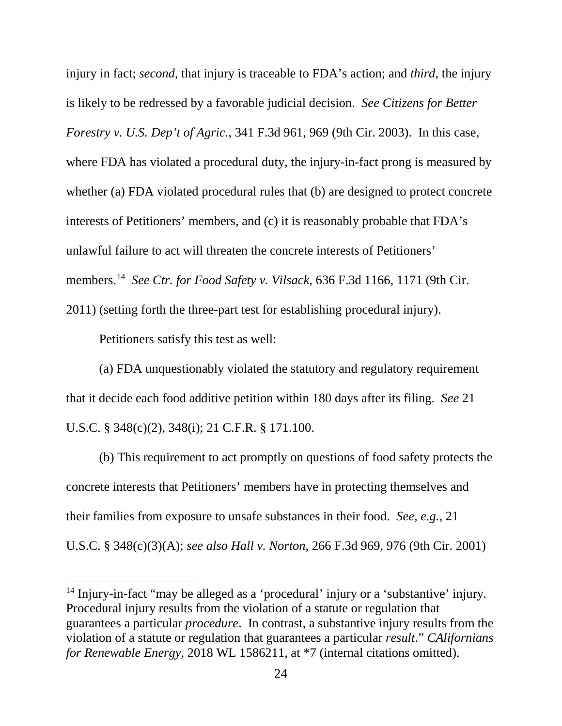injury in fact; *second*, that injury is traceable to FDA's action; and *third*, the injury is likely to be redressed by a favorable judicial decision. *See Citizens for Better Forestry v. U.S. Dep't of Agric.*, 341 F.3d 961, 969 (9th Cir. 2003). In this case, where FDA has violated a procedural duty, the injury-in-fact prong is measured by whether (a) FDA violated procedural rules that (b) are designed to protect concrete interests of Petitioners' members, and (c) it is reasonably probable that FDA's unlawful failure to act will threaten the concrete interests of Petitioners' members. 14 *See Ctr. for Food Safety v. Vilsack*, 636 F.3d 1166, 1171 (9th Cir. 2011) (setting forth the three-part test for establishing procedural injury).

Petitioners satisfy this test as well:

 $\overline{a}$ 

(a) FDA unquestionably violated the statutory and regulatory requirement that it decide each food additive petition within 180 days after its filing. *See* 21 U.S.C. § 348(c)(2), 348(i); 21 C.F.R. § 171.100.

(b) This requirement to act promptly on questions of food safety protects the concrete interests that Petitioners' members have in protecting themselves and their families from exposure to unsafe substances in their food. *See, e.g.*, 21 U.S.C. § 348(c)(3)(A); *see also Hall v. Norton*, 266 F.3d 969, 976 (9th Cir. 2001)

<sup>14</sup> Injury-in-fact "may be alleged as a 'procedural' injury or a 'substantive' injury. Procedural injury results from the violation of a statute or regulation that guarantees a particular *procedure*. In contrast, a substantive injury results from the violation of a statute or regulation that guarantees a particular *result*." *CAlifornians for Renewable Energy*, 2018 WL 1586211, at \*7 (internal citations omitted).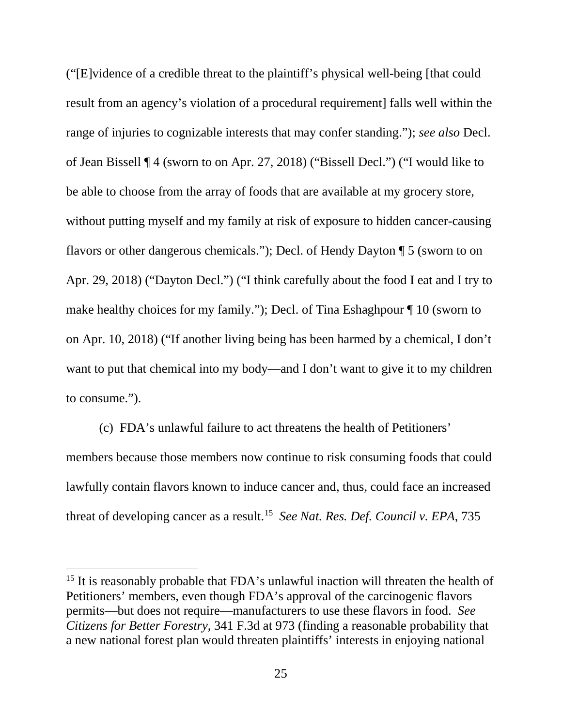("[E]vidence of a credible threat to the plaintiff's physical well-being [that could result from an agency's violation of a procedural requirement] falls well within the range of injuries to cognizable interests that may confer standing."); *see also* Decl. of Jean Bissell ¶ 4 (sworn to on Apr. 27, 2018) ("Bissell Decl.") ("I would like to be able to choose from the array of foods that are available at my grocery store, without putting myself and my family at risk of exposure to hidden cancer-causing flavors or other dangerous chemicals."); Decl. of Hendy Dayton ¶ 5 (sworn to on Apr. 29, 2018) ("Dayton Decl.") ("I think carefully about the food I eat and I try to make healthy choices for my family."); Decl. of Tina Eshaghpour ¶ 10 (sworn to on Apr. 10, 2018) ("If another living being has been harmed by a chemical, I don't want to put that chemical into my body—and I don't want to give it to my children to consume.").

(c) FDA's unlawful failure to act threatens the health of Petitioners' members because those members now continue to risk consuming foods that could lawfully contain flavors known to induce cancer and, thus, could face an increased threat of developing cancer as a result. 15 *See Nat. Res. Def. Council v. EPA*, 735

<sup>&</sup>lt;sup>15</sup> It is reasonably probable that FDA's unlawful inaction will threaten the health of Petitioners' members, even though FDA's approval of the carcinogenic flavors permits—but does not require—manufacturers to use these flavors in food. *See Citizens for Better Forestry*, 341 F.3d at 973 (finding a reasonable probability that a new national forest plan would threaten plaintiffs' interests in enjoying national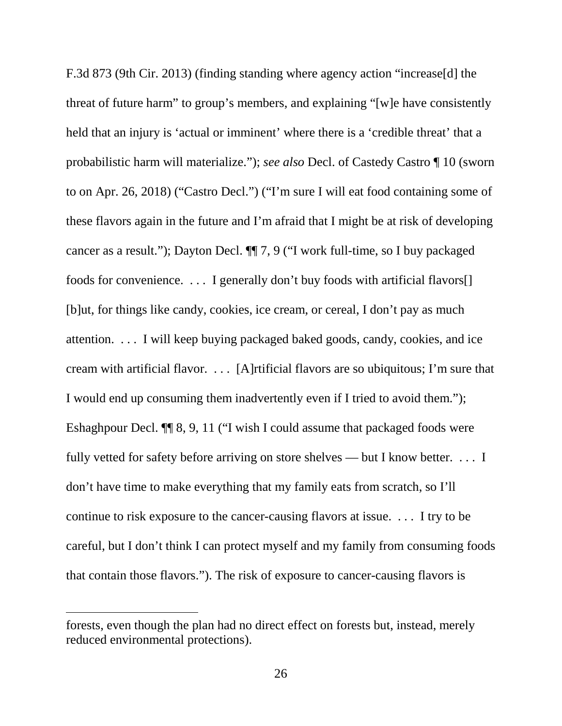F.3d 873 (9th Cir. 2013) (finding standing where agency action "increase[d] the threat of future harm" to group's members, and explaining "[w]e have consistently held that an injury is 'actual or imminent' where there is a 'credible threat' that a probabilistic harm will materialize."); *see also* Decl. of Castedy Castro ¶ 10 (sworn to on Apr. 26, 2018) ("Castro Decl.") ("I'm sure I will eat food containing some of these flavors again in the future and I'm afraid that I might be at risk of developing cancer as a result."); Dayton Decl. ¶¶ 7, 9 ("I work full-time, so I buy packaged foods for convenience. . . . I generally don't buy foods with artificial flavors[] [b]ut, for things like candy, cookies, ice cream, or cereal, I don't pay as much attention. . . . I will keep buying packaged baked goods, candy, cookies, and ice cream with artificial flavor. . . . [A]rtificial flavors are so ubiquitous; I'm sure that I would end up consuming them inadvertently even if I tried to avoid them."); Eshaghpour Decl. ¶¶ 8, 9, 11 ("I wish I could assume that packaged foods were fully vetted for safety before arriving on store shelves — but I know better. . . . I don't have time to make everything that my family eats from scratch, so I'll continue to risk exposure to the cancer-causing flavors at issue. . . . I try to be careful, but I don't think I can protect myself and my family from consuming foods that contain those flavors."). The risk of exposure to cancer-causing flavors is

l

forests, even though the plan had no direct effect on forests but, instead, merely reduced environmental protections).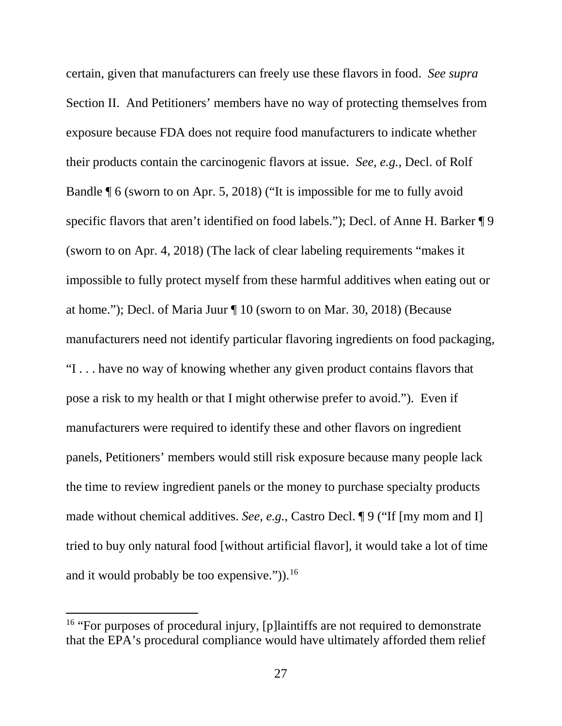certain, given that manufacturers can freely use these flavors in food. *See supra*  Section II. And Petitioners' members have no way of protecting themselves from exposure because FDA does not require food manufacturers to indicate whether their products contain the carcinogenic flavors at issue. *See, e.g.*, Decl. of Rolf Bandle ¶ 6 (sworn to on Apr. 5, 2018) ("It is impossible for me to fully avoid specific flavors that aren't identified on food labels."); Decl. of Anne H. Barker  $\P$ 9 (sworn to on Apr. 4, 2018) (The lack of clear labeling requirements "makes it impossible to fully protect myself from these harmful additives when eating out or at home."); Decl. of Maria Juur ¶ 10 (sworn to on Mar. 30, 2018) (Because manufacturers need not identify particular flavoring ingredients on food packaging, "I . . . have no way of knowing whether any given product contains flavors that pose a risk to my health or that I might otherwise prefer to avoid."). Even if manufacturers were required to identify these and other flavors on ingredient panels, Petitioners' members would still risk exposure because many people lack the time to review ingredient panels or the money to purchase specialty products made without chemical additives. *See, e.g.*, Castro Decl. ¶ 9 ("If [my mom and I] tried to buy only natural food [without artificial flavor], it would take a lot of time and it would probably be too expensive.")).<sup>16</sup>

<sup>&</sup>lt;sup>16</sup> "For purposes of procedural injury, [p]laintiffs are not required to demonstrate that the EPA's procedural compliance would have ultimately afforded them relief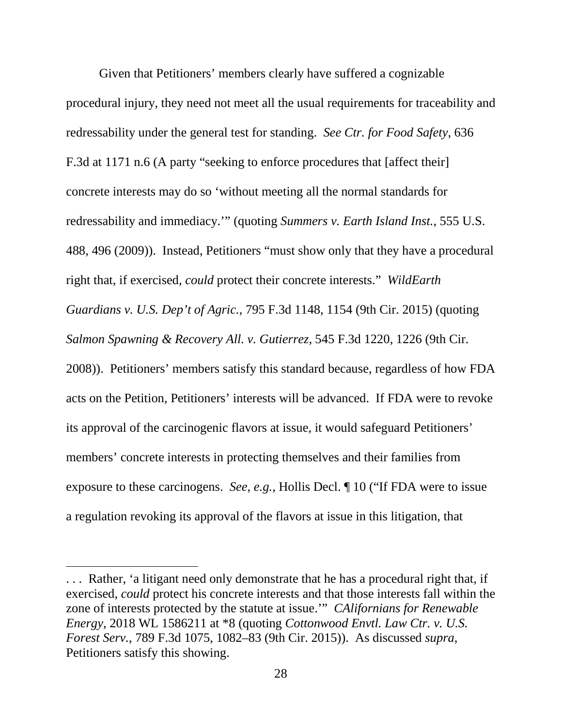Given that Petitioners' members clearly have suffered a cognizable procedural injury, they need not meet all the usual requirements for traceability and redressability under the general test for standing. *See Ctr. for Food Safety*, 636 F.3d at 1171 n.6 (A party "seeking to enforce procedures that [affect their] concrete interests may do so 'without meeting all the normal standards for redressability and immediacy.'" (quoting *Summers v. Earth Island Inst.*, 555 U.S. 488, 496 (2009)). Instead, Petitioners "must show only that they have a procedural right that, if exercised, *could* protect their concrete interests." *WildEarth Guardians v. U.S. Dep't of Agric.*, 795 F.3d 1148, 1154 (9th Cir. 2015) (quoting *Salmon Spawning & Recovery All. v. Gutierrez*, 545 F.3d 1220, 1226 (9th Cir. 2008)). Petitioners' members satisfy this standard because, regardless of how FDA acts on the Petition, Petitioners' interests will be advanced. If FDA were to revoke its approval of the carcinogenic flavors at issue, it would safeguard Petitioners' members' concrete interests in protecting themselves and their families from exposure to these carcinogens. *See*, *e.g.*, Hollis Decl. ¶ 10 ("If FDA were to issue a regulation revoking its approval of the flavors at issue in this litigation, that

<sup>.</sup> . . Rather, 'a litigant need only demonstrate that he has a procedural right that, if exercised, *could* protect his concrete interests and that those interests fall within the zone of interests protected by the statute at issue.'" *CAlifornians for Renewable Energy*, 2018 WL 1586211 at \*8 (quoting *Cottonwood Envtl. Law Ctr. v. U.S. Forest Serv.*, 789 F.3d 1075, 1082–83 (9th Cir. 2015)). As discussed *supra*, Petitioners satisfy this showing.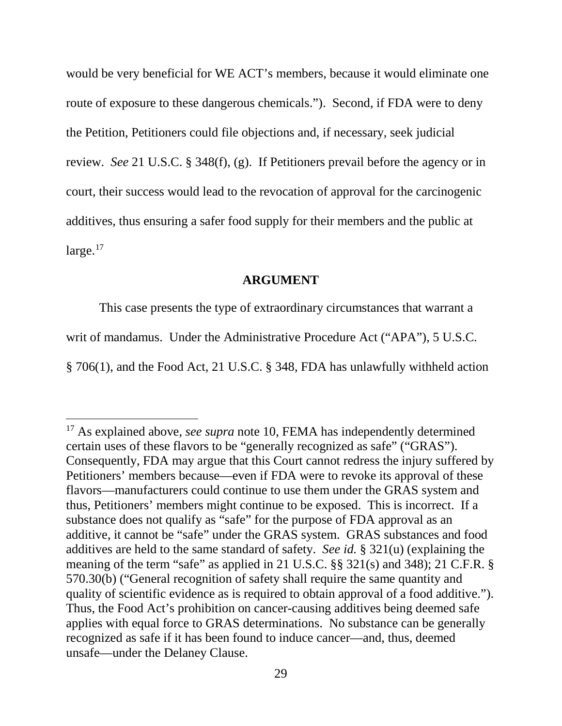would be very beneficial for WE ACT's members, because it would eliminate one route of exposure to these dangerous chemicals."). Second, if FDA were to deny the Petition, Petitioners could file objections and, if necessary, seek judicial review. *See* 21 U.S.C. § 348(f), (g). If Petitioners prevail before the agency or in court, their success would lead to the revocation of approval for the carcinogenic additives, thus ensuring a safer food supply for their members and the public at large.<sup>17</sup>

### **ARGUMENT**

This case presents the type of extraordinary circumstances that warrant a writ of mandamus. Under the Administrative Procedure Act ("APA"), 5 U.S.C. § 706(1), and the Food Act, 21 U.S.C. § 348, FDA has unlawfully withheld action

<sup>&</sup>lt;sup>17</sup> As explained above, *see supra* note 10, FEMA has independently determined certain uses of these flavors to be "generally recognized as safe" ("GRAS"). Consequently, FDA may argue that this Court cannot redress the injury suffered by Petitioners' members because—even if FDA were to revoke its approval of these flavors—manufacturers could continue to use them under the GRAS system and thus, Petitioners' members might continue to be exposed. This is incorrect. If a substance does not qualify as "safe" for the purpose of FDA approval as an additive, it cannot be "safe" under the GRAS system. GRAS substances and food additives are held to the same standard of safety. *See id.* § 321(u) (explaining the meaning of the term "safe" as applied in 21 U.S.C. §§ 321(s) and 348); 21 C.F.R. § 570.30(b) ("General recognition of safety shall require the same quantity and quality of scientific evidence as is required to obtain approval of a food additive."). Thus, the Food Act's prohibition on cancer-causing additives being deemed safe applies with equal force to GRAS determinations. No substance can be generally recognized as safe if it has been found to induce cancer—and, thus, deemed unsafe—under the Delaney Clause.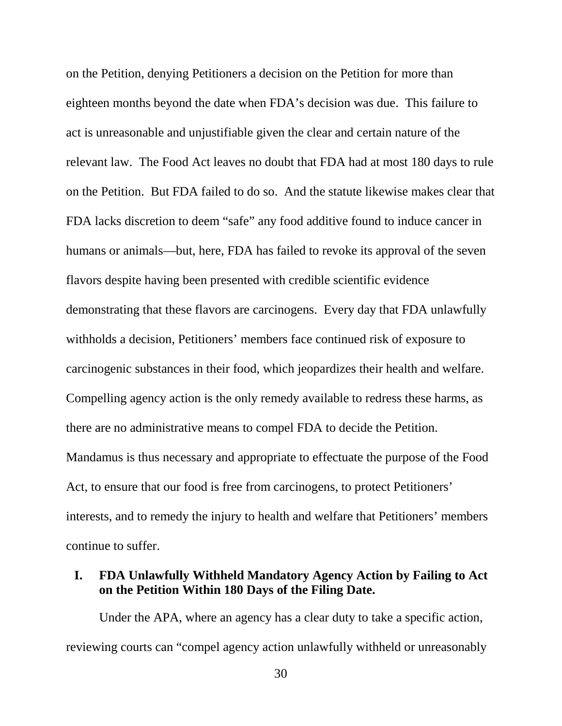on the Petition, denying Petitioners a decision on the Petition for more than eighteen months beyond the date when FDA's decision was due. This failure to act is unreasonable and unjustifiable given the clear and certain nature of the relevant law. The Food Act leaves no doubt that FDA had at most 180 days to rule on the Petition. But FDA failed to do so. And the statute likewise makes clear that FDA lacks discretion to deem "safe" any food additive found to induce cancer in humans or animals—but, here, FDA has failed to revoke its approval of the seven flavors despite having been presented with credible scientific evidence demonstrating that these flavors are carcinogens. Every day that FDA unlawfully withholds a decision, Petitioners' members face continued risk of exposure to carcinogenic substances in their food, which jeopardizes their health and welfare. Compelling agency action is the only remedy available to redress these harms, as there are no administrative means to compel FDA to decide the Petition. Mandamus is thus necessary and appropriate to effectuate the purpose of the Food Act, to ensure that our food is free from carcinogens, to protect Petitioners' interests, and to remedy the injury to health and welfare that Petitioners' members continue to suffer.

## **I. FDA Unlawfully Withheld Mandatory Agency Action by Failing to Act on the Petition Within 180 Days of the Filing Date.**

Under the APA, where an agency has a clear duty to take a specific action, reviewing courts can "compel agency action unlawfully withheld or unreasonably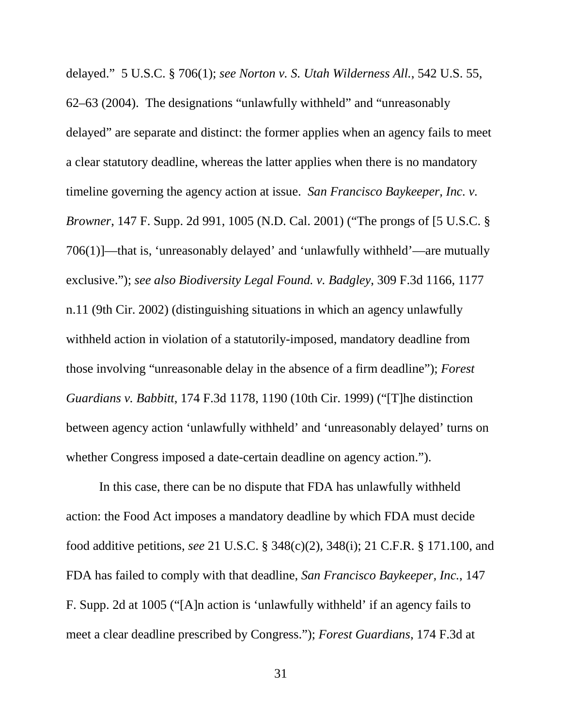delayed." 5 U.S.C. § 706(1); *see Norton v. S. Utah Wilderness All.*, 542 U.S. 55,

62–63 (2004). The designations "unlawfully withheld" and "unreasonably delayed" are separate and distinct: the former applies when an agency fails to meet a clear statutory deadline, whereas the latter applies when there is no mandatory timeline governing the agency action at issue. *San Francisco Baykeeper, Inc. v. Browner*, 147 F. Supp. 2d 991, 1005 (N.D. Cal. 2001) ("The prongs of [5 U.S.C. § 706(1)]—that is, 'unreasonably delayed' and 'unlawfully withheld'—are mutually exclusive."); *see also Biodiversity Legal Found. v. Badgley*, 309 F.3d 1166, 1177 n.11 (9th Cir. 2002) (distinguishing situations in which an agency unlawfully withheld action in violation of a statutorily-imposed, mandatory deadline from those involving "unreasonable delay in the absence of a firm deadline"); *Forest Guardians v. Babbitt*, 174 F.3d 1178, 1190 (10th Cir. 1999) ("[T]he distinction between agency action 'unlawfully withheld' and 'unreasonably delayed' turns on whether Congress imposed a date-certain deadline on agency action.").

In this case, there can be no dispute that FDA has unlawfully withheld action: the Food Act imposes a mandatory deadline by which FDA must decide food additive petitions, *see* 21 U.S.C. § 348(c)(2), 348(i); 21 C.F.R. § 171.100, and FDA has failed to comply with that deadline, *San Francisco Baykeeper, Inc.*, 147 F. Supp. 2d at 1005 ("[A]n action is 'unlawfully withheld' if an agency fails to meet a clear deadline prescribed by Congress."); *Forest Guardians*, 174 F.3d at

31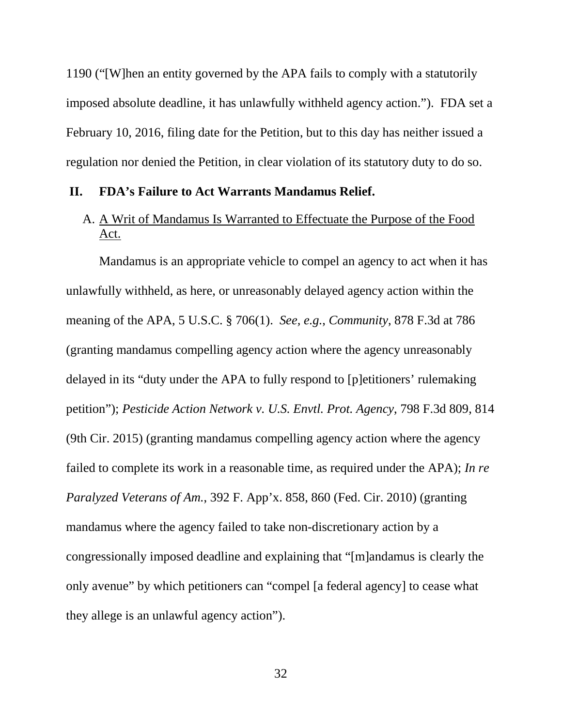1190 ("[W]hen an entity governed by the APA fails to comply with a statutorily imposed absolute deadline, it has unlawfully withheld agency action."). FDA set a February 10, 2016, filing date for the Petition, but to this day has neither issued a regulation nor denied the Petition, in clear violation of its statutory duty to do so.

#### **II. FDA's Failure to Act Warrants Mandamus Relief.**

# A. A Writ of Mandamus Is Warranted to Effectuate the Purpose of the Food Act.

Mandamus is an appropriate vehicle to compel an agency to act when it has unlawfully withheld, as here, or unreasonably delayed agency action within the meaning of the APA, 5 U.S.C. § 706(1). *See, e.g.*, *Community*, 878 F.3d at 786 (granting mandamus compelling agency action where the agency unreasonably delayed in its "duty under the APA to fully respond to [p]etitioners' rulemaking petition"); *Pesticide Action Network v. U.S. Envtl. Prot. Agency*, 798 F.3d 809, 814 (9th Cir. 2015) (granting mandamus compelling agency action where the agency failed to complete its work in a reasonable time, as required under the APA); *In re Paralyzed Veterans of Am.*, 392 F. App'x. 858, 860 (Fed. Cir. 2010) (granting mandamus where the agency failed to take non-discretionary action by a congressionally imposed deadline and explaining that "[m]andamus is clearly the only avenue" by which petitioners can "compel [a federal agency] to cease what they allege is an unlawful agency action").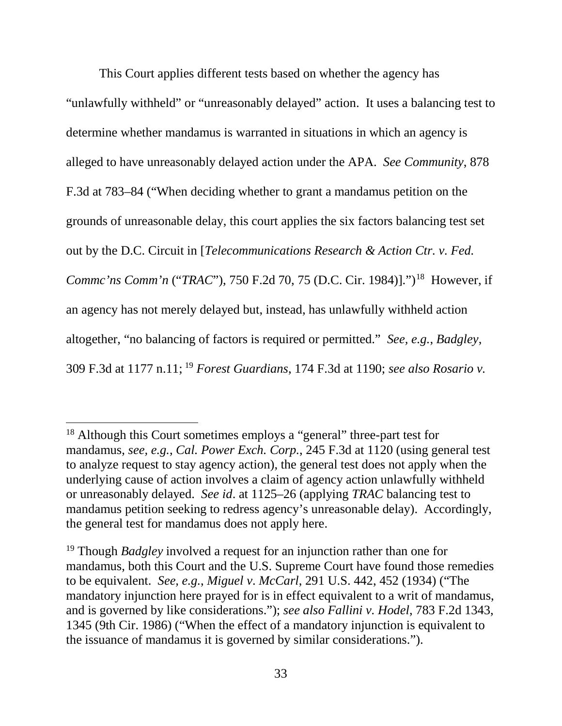This Court applies different tests based on whether the agency has "unlawfully withheld" or "unreasonably delayed" action. It uses a balancing test to determine whether mandamus is warranted in situations in which an agency is alleged to have unreasonably delayed action under the APA. *See Community*, 878 F.3d at 783–84 ("When deciding whether to grant a mandamus petition on the grounds of unreasonable delay, this court applies the six factors balancing test set out by the D.C. Circuit in [*Telecommunications Research & Action Ctr. v. Fed. Commc'ns Comm'n ("TRAC"), 750 F.2d 70, 75 (D.C. Cir. 1984)].")*<sup>18</sup> However, if an agency has not merely delayed but, instead, has unlawfully withheld action altogether, "no balancing of factors is required or permitted." *See, e.g.*, *Badgley*, 309 F.3d at 1177 n.11; <sup>19</sup> *Forest Guardians*, 174 F.3d at 1190; *see also Rosario v.* 

<sup>&</sup>lt;sup>18</sup> Although this Court sometimes employs a "general" three-part test for mandamus, *see, e.g.*, *Cal. Power Exch. Corp.*, 245 F.3d at 1120 (using general test to analyze request to stay agency action), the general test does not apply when the underlying cause of action involves a claim of agency action unlawfully withheld or unreasonably delayed. *See id*. at 1125–26 (applying *TRAC* balancing test to mandamus petition seeking to redress agency's unreasonable delay). Accordingly, the general test for mandamus does not apply here.

<sup>19</sup> Though *Badgley* involved a request for an injunction rather than one for mandamus, both this Court and the U.S. Supreme Court have found those remedies to be equivalent. *See, e.g.*, *Miguel v*. *McCarl*, 291 U.S. 442, 452 (1934) ("The mandatory injunction here prayed for is in effect equivalent to a writ of mandamus, and is governed by like considerations."); *see also Fallini v. Hodel*, 783 F.2d 1343, 1345 (9th Cir. 1986) ("When the effect of a mandatory injunction is equivalent to the issuance of mandamus it is governed by similar considerations.").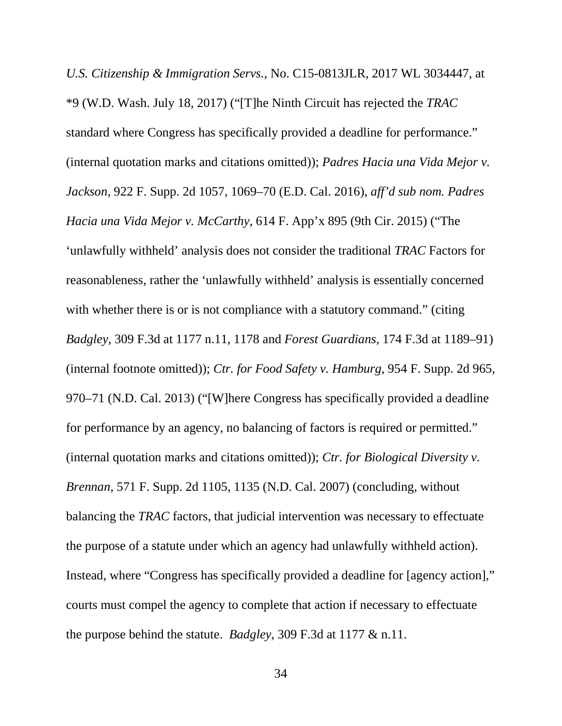*U.S. Citizenship & Immigration Servs.*, No. C15-0813JLR, 2017 WL 3034447, at \*9 (W.D. Wash. July 18, 2017) ("[T]he Ninth Circuit has rejected the *TRAC* standard where Congress has specifically provided a deadline for performance." (internal quotation marks and citations omitted)); *Padres Hacia una Vida Mejor v. Jackson*, 922 F. Supp. 2d 1057, 1069–70 (E.D. Cal. 2016), *aff'd sub nom. Padres Hacia una Vida Mejor v. McCarthy*, 614 F. App'x 895 (9th Cir. 2015) ("The 'unlawfully withheld' analysis does not consider the traditional *TRAC* Factors for reasonableness, rather the 'unlawfully withheld' analysis is essentially concerned with whether there is or is not compliance with a statutory command." (citing *Badgley*, 309 F.3d at 1177 n.11, 1178 and *Forest Guardians*, 174 F.3d at 1189–91) (internal footnote omitted)); *Ctr. for Food Safety v. Hamburg*, 954 F. Supp. 2d 965, 970–71 (N.D. Cal. 2013) ("[W]here Congress has specifically provided a deadline for performance by an agency, no balancing of factors is required or permitted." (internal quotation marks and citations omitted)); *Ctr. for Biological Diversity v. Brennan*, 571 F. Supp. 2d 1105, 1135 (N.D. Cal. 2007) (concluding, without balancing the *TRAC* factors, that judicial intervention was necessary to effectuate the purpose of a statute under which an agency had unlawfully withheld action). Instead, where "Congress has specifically provided a deadline for [agency action]," courts must compel the agency to complete that action if necessary to effectuate the purpose behind the statute. *Badgley*, 309 F.3d at 1177 & n.11.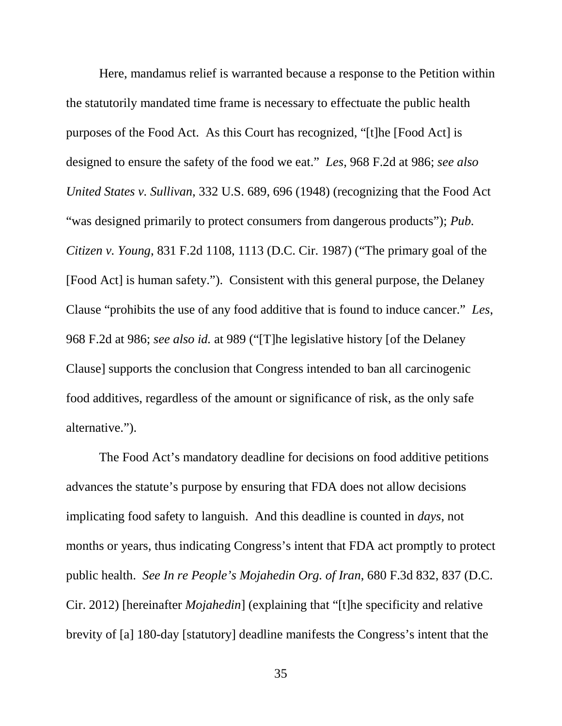Here, mandamus relief is warranted because a response to the Petition within the statutorily mandated time frame is necessary to effectuate the public health purposes of the Food Act. As this Court has recognized, "[t]he [Food Act] is designed to ensure the safety of the food we eat." *Les*, 968 F.2d at 986; *see also United States v. Sullivan*, 332 U.S. 689, 696 (1948) (recognizing that the Food Act "was designed primarily to protect consumers from dangerous products"); *Pub. Citizen v. Young*, 831 F.2d 1108, 1113 (D.C. Cir. 1987) ("The primary goal of the [Food Act] is human safety."). Consistent with this general purpose, the Delaney Clause "prohibits the use of any food additive that is found to induce cancer." *Les*, 968 F.2d at 986; *see also id.* at 989 ("[T]he legislative history [of the Delaney Clause] supports the conclusion that Congress intended to ban all carcinogenic food additives, regardless of the amount or significance of risk, as the only safe alternative.").

The Food Act's mandatory deadline for decisions on food additive petitions advances the statute's purpose by ensuring that FDA does not allow decisions implicating food safety to languish. And this deadline is counted in *days*, not months or years, thus indicating Congress's intent that FDA act promptly to protect public health. *See In re People's Mojahedin Org. of Iran*, 680 F.3d 832, 837 (D.C. Cir. 2012) [hereinafter *Mojahedin*] (explaining that "[t]he specificity and relative brevity of [a] 180-day [statutory] deadline manifests the Congress's intent that the

35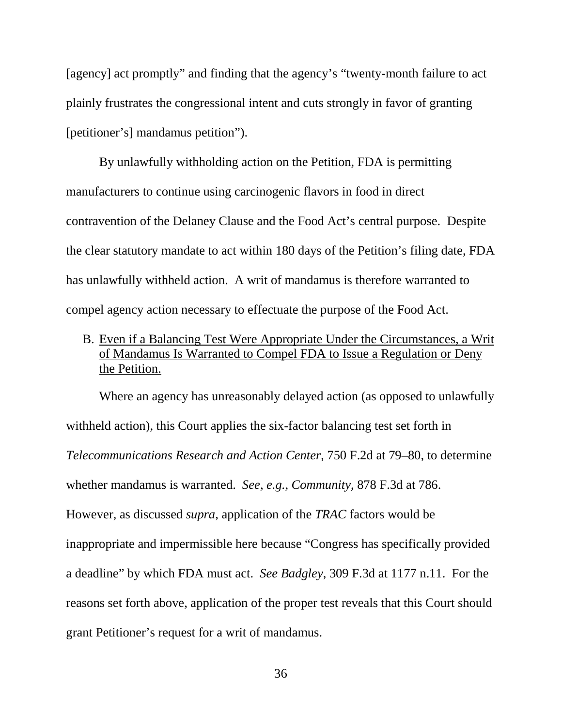[agency] act promptly" and finding that the agency's "twenty-month failure to act plainly frustrates the congressional intent and cuts strongly in favor of granting [petitioner's] mandamus petition").

By unlawfully withholding action on the Petition, FDA is permitting manufacturers to continue using carcinogenic flavors in food in direct contravention of the Delaney Clause and the Food Act's central purpose. Despite the clear statutory mandate to act within 180 days of the Petition's filing date, FDA has unlawfully withheld action. A writ of mandamus is therefore warranted to compel agency action necessary to effectuate the purpose of the Food Act.

B. Even if a Balancing Test Were Appropriate Under the Circumstances, a Writ of Mandamus Is Warranted to Compel FDA to Issue a Regulation or Deny the Petition.

Where an agency has unreasonably delayed action (as opposed to unlawfully withheld action), this Court applies the six-factor balancing test set forth in *Telecommunications Research and Action Center*, 750 F.2d at 79–80, to determine whether mandamus is warranted. *See, e.g.*, *Community*, 878 F.3d at 786. However, as discussed *supra*, application of the *TRAC* factors would be inappropriate and impermissible here because "Congress has specifically provided a deadline" by which FDA must act. *See Badgley*, 309 F.3d at 1177 n.11. For the reasons set forth above, application of the proper test reveals that this Court should grant Petitioner's request for a writ of mandamus.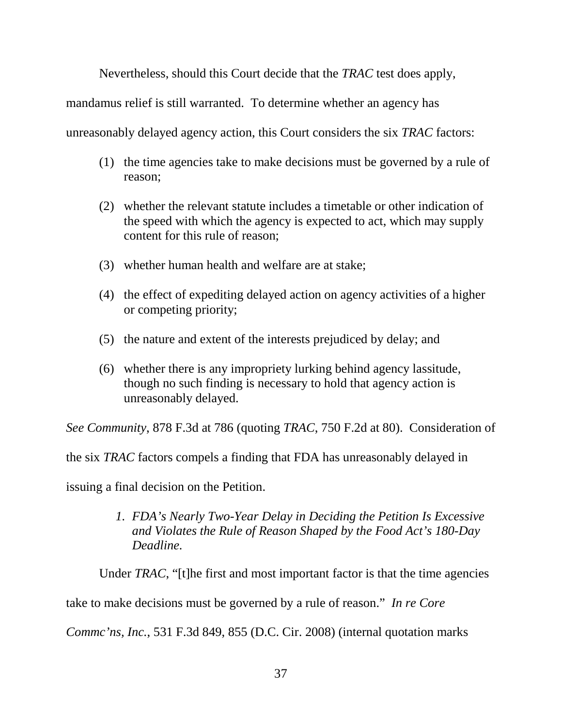Nevertheless, should this Court decide that the *TRAC* test does apply,

mandamus relief is still warranted. To determine whether an agency has

unreasonably delayed agency action, this Court considers the six *TRAC* factors:

- (1) the time agencies take to make decisions must be governed by a rule of reason;
- (2) whether the relevant statute includes a timetable or other indication of the speed with which the agency is expected to act, which may supply content for this rule of reason;
- (3) whether human health and welfare are at stake;
- (4) the effect of expediting delayed action on agency activities of a higher or competing priority;
- (5) the nature and extent of the interests prejudiced by delay; and
- (6) whether there is any impropriety lurking behind agency lassitude, though no such finding is necessary to hold that agency action is unreasonably delayed.

*See Community*, 878 F.3d at 786 (quoting *TRAC*, 750 F.2d at 80). Consideration of

the six *TRAC* factors compels a finding that FDA has unreasonably delayed in

issuing a final decision on the Petition.

*1. FDA's Nearly Two-Year Delay in Deciding the Petition Is Excessive and Violates the Rule of Reason Shaped by the Food Act's 180-Day Deadline.*

Under *TRAC*, "[t]he first and most important factor is that the time agencies

take to make decisions must be governed by a rule of reason." *In re Core* 

*Commc'ns, Inc.*, 531 F.3d 849, 855 (D.C. Cir. 2008) (internal quotation marks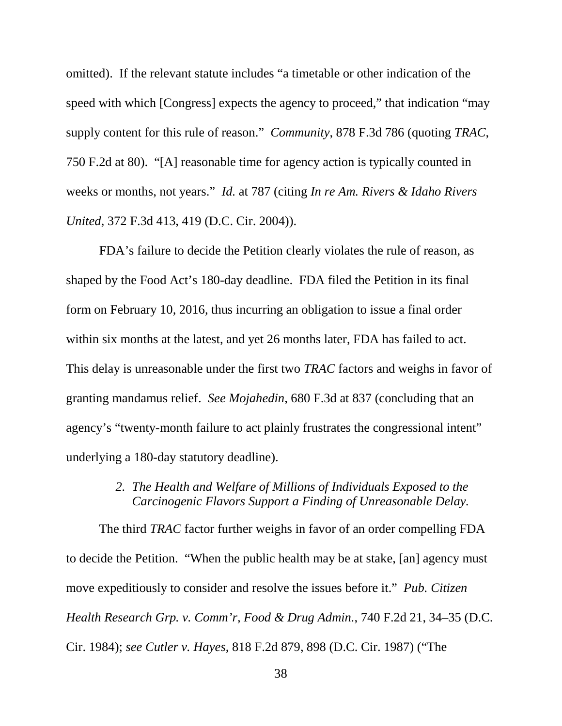omitted). If the relevant statute includes "a timetable or other indication of the speed with which [Congress] expects the agency to proceed," that indication "may supply content for this rule of reason." *Community*, 878 F.3d 786 (quoting *TRAC*, 750 F.2d at 80). "[A] reasonable time for agency action is typically counted in weeks or months, not years." *Id.* at 787 (citing *In re Am. Rivers & Idaho Rivers United*, 372 F.3d 413, 419 (D.C. Cir. 2004)).

FDA's failure to decide the Petition clearly violates the rule of reason, as shaped by the Food Act's 180-day deadline. FDA filed the Petition in its final form on February 10, 2016, thus incurring an obligation to issue a final order within six months at the latest, and yet 26 months later, FDA has failed to act. This delay is unreasonable under the first two *TRAC* factors and weighs in favor of granting mandamus relief. *See Mojahedin*, 680 F.3d at 837 (concluding that an agency's "twenty-month failure to act plainly frustrates the congressional intent" underlying a 180-day statutory deadline).

## *2. The Health and Welfare of Millions of Individuals Exposed to the Carcinogenic Flavors Support a Finding of Unreasonable Delay.*

The third *TRAC* factor further weighs in favor of an order compelling FDA to decide the Petition. "When the public health may be at stake, [an] agency must move expeditiously to consider and resolve the issues before it." *Pub. Citizen Health Research Grp. v. Comm'r, Food & Drug Admin.*, 740 F.2d 21, 34–35 (D.C. Cir. 1984); *see Cutler v. Hayes*, 818 F.2d 879, 898 (D.C. Cir. 1987) ("The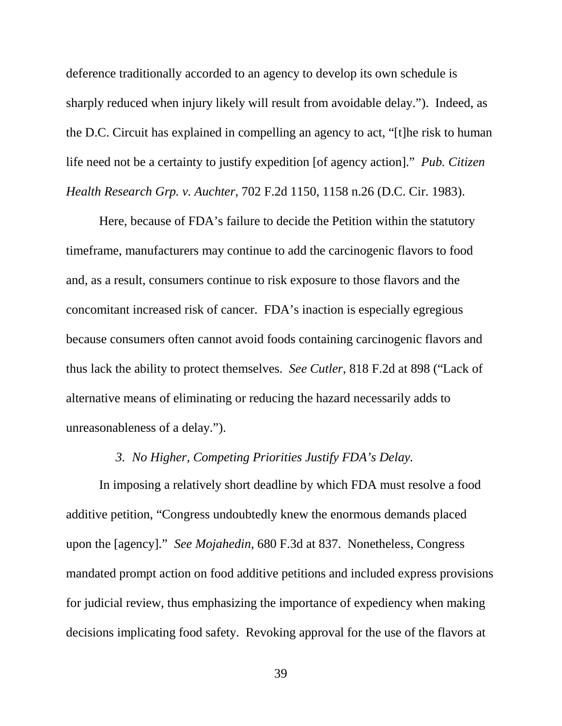deference traditionally accorded to an agency to develop its own schedule is sharply reduced when injury likely will result from avoidable delay."). Indeed, as the D.C. Circuit has explained in compelling an agency to act, "[t]he risk to human life need not be a certainty to justify expedition [of agency action]." *Pub. Citizen Health Research Grp. v. Auchter*, 702 F.2d 1150, 1158 n.26 (D.C. Cir. 1983).

Here, because of FDA's failure to decide the Petition within the statutory timeframe, manufacturers may continue to add the carcinogenic flavors to food and, as a result, consumers continue to risk exposure to those flavors and the concomitant increased risk of cancer. FDA's inaction is especially egregious because consumers often cannot avoid foods containing carcinogenic flavors and thus lack the ability to protect themselves. *See Cutler*, 818 F.2d at 898 ("Lack of alternative means of eliminating or reducing the hazard necessarily adds to unreasonableness of a delay.").

## *3. No Higher, Competing Priorities Justify FDA's Delay.*

In imposing a relatively short deadline by which FDA must resolve a food additive petition, "Congress undoubtedly knew the enormous demands placed upon the [agency]." *See Mojahedin*, 680 F.3d at 837. Nonetheless, Congress mandated prompt action on food additive petitions and included express provisions for judicial review, thus emphasizing the importance of expediency when making decisions implicating food safety. Revoking approval for the use of the flavors at

39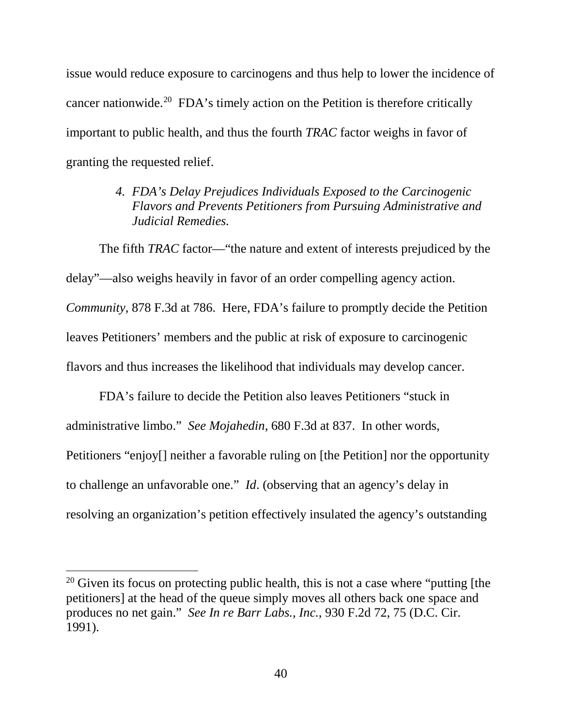issue would reduce exposure to carcinogens and thus help to lower the incidence of cancer nationwide.<sup>20</sup> FDA's timely action on the Petition is therefore critically important to public health, and thus the fourth *TRAC* factor weighs in favor of granting the requested relief.

> *4. FDA's Delay Prejudices Individuals Exposed to the Carcinogenic Flavors and Prevents Petitioners from Pursuing Administrative and Judicial Remedies.*

The fifth *TRAC* factor—"the nature and extent of interests prejudiced by the delay"—also weighs heavily in favor of an order compelling agency action. *Community*, 878 F.3d at 786. Here, FDA's failure to promptly decide the Petition leaves Petitioners' members and the public at risk of exposure to carcinogenic flavors and thus increases the likelihood that individuals may develop cancer.

FDA's failure to decide the Petition also leaves Petitioners "stuck in administrative limbo." *See Mojahedin*, 680 F.3d at 837. In other words, Petitioners "enjoy[] neither a favorable ruling on [the Petition] nor the opportunity to challenge an unfavorable one." *Id*. (observing that an agency's delay in resolving an organization's petition effectively insulated the agency's outstanding

 $\overline{\phantom{a}}$ 

<sup>&</sup>lt;sup>20</sup> Given its focus on protecting public health, this is not a case where "putting [the petitioners] at the head of the queue simply moves all others back one space and produces no net gain." *See In re Barr Labs., Inc.*, 930 F.2d 72, 75 (D.C. Cir. 1991).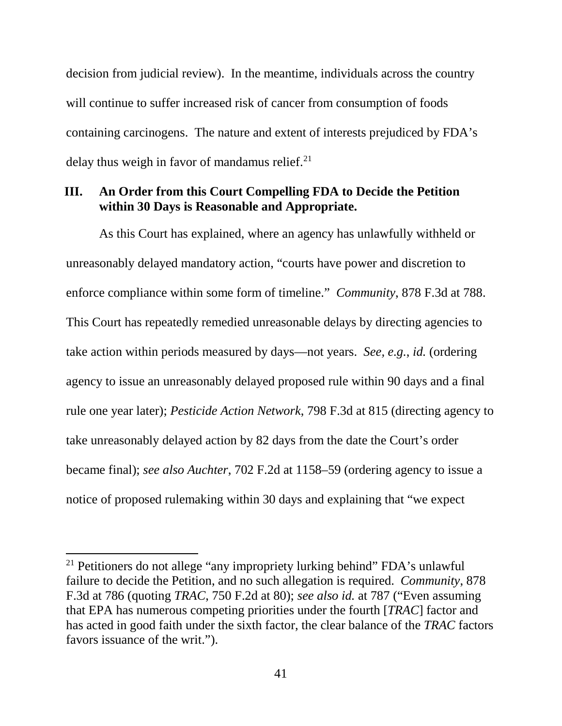decision from judicial review). In the meantime, individuals across the country will continue to suffer increased risk of cancer from consumption of foods containing carcinogens. The nature and extent of interests prejudiced by FDA's delay thus weigh in favor of mandamus relief. $2<sup>1</sup>$ 

## **III. An Order from this Court Compelling FDA to Decide the Petition within 30 Days is Reasonable and Appropriate.**

As this Court has explained, where an agency has unlawfully withheld or unreasonably delayed mandatory action, "courts have power and discretion to enforce compliance within some form of timeline." *Community*, 878 F.3d at 788. This Court has repeatedly remedied unreasonable delays by directing agencies to take action within periods measured by days—not years. *See, e.g.*, *id.* (ordering agency to issue an unreasonably delayed proposed rule within 90 days and a final rule one year later); *Pesticide Action Network*, 798 F.3d at 815 (directing agency to take unreasonably delayed action by 82 days from the date the Court's order became final); *see also Auchter*, 702 F.2d at 1158–59 (ordering agency to issue a notice of proposed rulemaking within 30 days and explaining that "we expect

<sup>&</sup>lt;sup>21</sup> Petitioners do not allege "any impropriety lurking behind" FDA's unlawful failure to decide the Petition, and no such allegation is required. *Community*, 878 F.3d at 786 (quoting *TRAC*, 750 F.2d at 80); *see also id.* at 787 ("Even assuming that EPA has numerous competing priorities under the fourth [*TRAC*] factor and has acted in good faith under the sixth factor, the clear balance of the *TRAC* factors favors issuance of the writ.").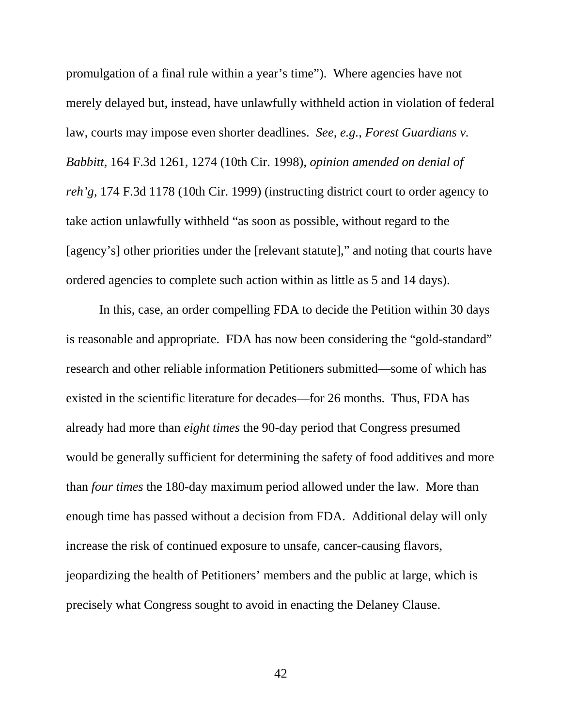promulgation of a final rule within a year's time"). Where agencies have not merely delayed but, instead, have unlawfully withheld action in violation of federal law, courts may impose even shorter deadlines. *See, e.g.*, *Forest Guardians v. Babbitt*, 164 F.3d 1261, 1274 (10th Cir. 1998), *opinion amended on denial of reh'g,* 174 F.3d 1178 (10th Cir. 1999) (instructing district court to order agency to take action unlawfully withheld "as soon as possible, without regard to the [agency's] other priorities under the [relevant statute]," and noting that courts have ordered agencies to complete such action within as little as 5 and 14 days).

In this, case, an order compelling FDA to decide the Petition within 30 days is reasonable and appropriate. FDA has now been considering the "gold-standard" research and other reliable information Petitioners submitted—some of which has existed in the scientific literature for decades—for 26 months. Thus, FDA has already had more than *eight times* the 90-day period that Congress presumed would be generally sufficient for determining the safety of food additives and more than *four times* the 180-day maximum period allowed under the law. More than enough time has passed without a decision from FDA. Additional delay will only increase the risk of continued exposure to unsafe, cancer-causing flavors, jeopardizing the health of Petitioners' members and the public at large, which is precisely what Congress sought to avoid in enacting the Delaney Clause.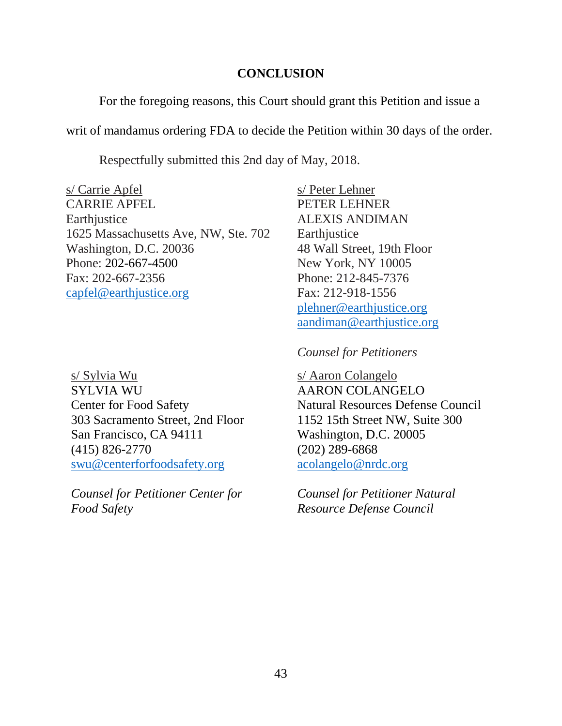## **CONCLUSION**

For the foregoing reasons, this Court should grant this Petition and issue a

writ of mandamus ordering FDA to decide the Petition within 30 days of the order.

Respectfully submitted this 2nd day of May, 2018.

s/ Carrie Apfel s/ Peter Lehner CARRIE APFEL PETER LEHNER Earthjustice ALEXIS ANDIMAN 1625 Massachusetts Ave, NW, Ste. 702 Earthjustice Washington, D.C. 20036 48 Wall Street, 19th Floor Phone: 202-667-4500 New York, NY 10005 Fax: 202-667-2356 Phone: 212-845-7376 capfel@earthjustice.org Fax: 212-918-1556

s/ Sylvia Wu SYLVIA WU Center for Food Safety 303 Sacramento Street, 2nd Floor San Francisco, CA 94111 (415) 826-2770 swu@centerforfoodsafety.org

*Counsel for Petitioner Center for Food Safety*

plehner@earthjustice.org aandiman@earthjustice.org

*Counsel for Petitioners*

s/ Aaron Colangelo AARON COLANGELO Natural Resources Defense Council 1152 15th Street NW, Suite 300 Washington, D.C. 20005 (202) 289-6868 acolangelo@nrdc.org

*Counsel for Petitioner Natural Resource Defense Council*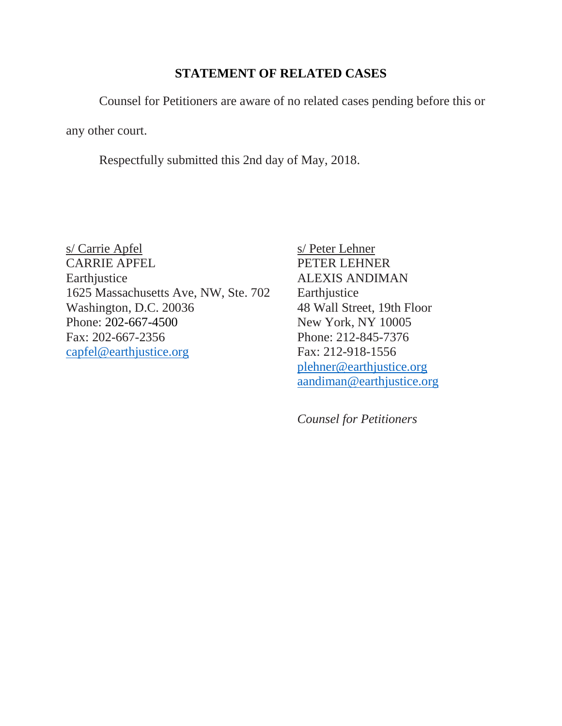## **STATEMENT OF RELATED CASES**

Counsel for Petitioners are aware of no related cases pending before this or

any other court.

Respectfully submitted this 2nd day of May, 2018.

s/ Carrie Apfel s/ Peter Lehner CARRIE APFEL PETER LEHNER Earthjustice ALEXIS ANDIMAN 1625 Massachusetts Ave, NW, Ste. 702 Earthjustice Washington, D.C. 20036 48 Wall Street, 19th Floor Phone: 202-667-4500 New York, NY 10005 Fax: 202-667-2356 Phone: 212-845-7376 capfel@earthjustice.org Fax: 212-918-1556

plehner@earthjustice.org aandiman@earthjustice.org

*Counsel for Petitioners*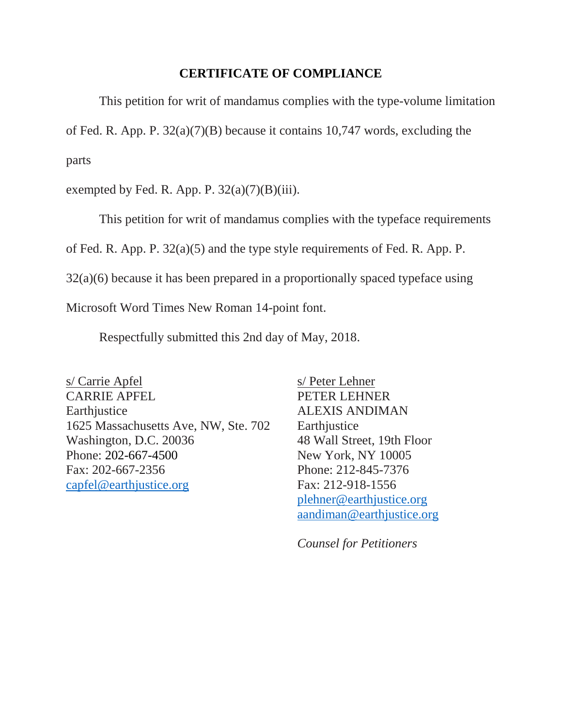### **CERTIFICATE OF COMPLIANCE**

This petition for writ of mandamus complies with the type-volume limitation of Fed. R. App. P. 32(a)(7)(B) because it contains 10,747 words, excluding the parts

exempted by Fed. R. App. P.  $32(a)(7)(B)(iii)$ .

This petition for writ of mandamus complies with the typeface requirements

of Fed. R. App. P. 32(a)(5) and the type style requirements of Fed. R. App. P.

32(a)(6) because it has been prepared in a proportionally spaced typeface using

Microsoft Word Times New Roman 14-point font.

Respectfully submitted this 2nd day of May, 2018.

s/ Carrie Apfel s/ Peter Lehner CARRIE APFEL PETER LEHNER Earthjustice ALEXIS ANDIMAN 1625 Massachusetts Ave, NW, Ste. 702 Earthjustice Washington, D.C. 20036 48 Wall Street, 19th Floor Phone: 202-667-4500 New York, NY 10005 Fax: 202-667-2356 Phone: 212-845-7376 capfel@earthjustice.org Fax: 212-918-1556

plehner@earthjustice.org aandiman@earthjustice.org

*Counsel for Petitioners*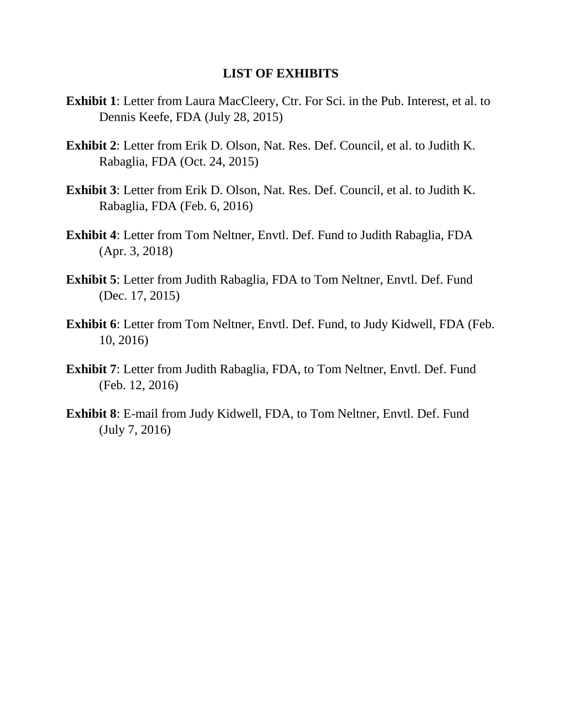#### **LIST OF EXHIBITS**

- **Exhibit 1**: Letter from Laura MacCleery, Ctr. For Sci. in the Pub. Interest, et al. to Dennis Keefe, FDA (July 28, 2015)
- **Exhibit 2**: Letter from Erik D. Olson, Nat. Res. Def. Council, et al. to Judith K. Rabaglia, FDA (Oct. 24, 2015)
- **Exhibit 3**: Letter from Erik D. Olson, Nat. Res. Def. Council, et al. to Judith K. Rabaglia, FDA (Feb. 6, 2016)
- **Exhibit 4**: Letter from Tom Neltner, Envtl. Def. Fund to Judith Rabaglia, FDA (Apr. 3, 2018)
- **Exhibit 5**: Letter from Judith Rabaglia, FDA to Tom Neltner, Envtl. Def. Fund (Dec. 17, 2015)
- **Exhibit 6**: Letter from Tom Neltner, Envtl. Def. Fund, to Judy Kidwell, FDA (Feb. 10, 2016)
- **Exhibit 7**: Letter from Judith Rabaglia, FDA, to Tom Neltner, Envtl. Def. Fund (Feb. 12, 2016)
- **Exhibit 8**: E-mail from Judy Kidwell, FDA, to Tom Neltner, Envtl. Def. Fund (July 7, 2016)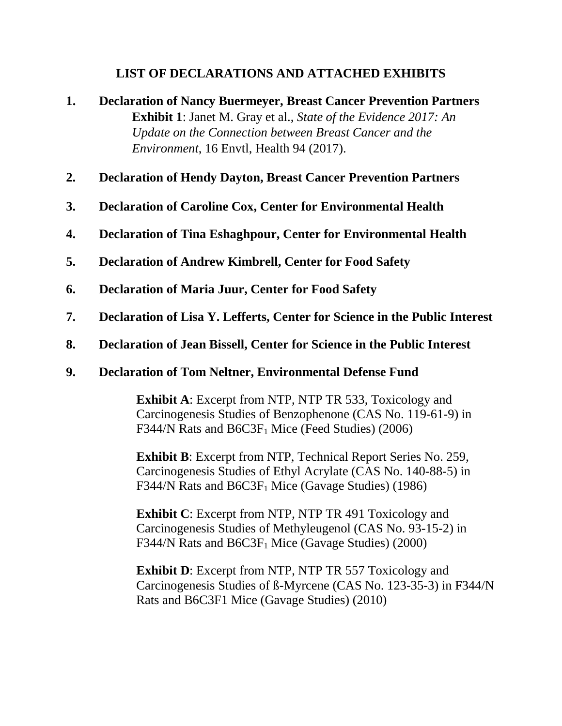## **LIST OF DECLARATIONS AND ATTACHED EXHIBITS**

- **1. Declaration of Nancy Buermeyer, Breast Cancer Prevention Partners Exhibit 1**: Janet M. Gray et al., *State of the Evidence 2017: An Update on the Connection between Breast Cancer and the Environment*, 16 Envtl, Health 94 (2017).
- **2. Declaration of Hendy Dayton, Breast Cancer Prevention Partners**
- **3. Declaration of Caroline Cox, Center for Environmental Health**
- **4. Declaration of Tina Eshaghpour, Center for Environmental Health**
- **5. Declaration of Andrew Kimbrell, Center for Food Safety**
- **6. Declaration of Maria Juur, Center for Food Safety**
- **7. Declaration of Lisa Y. Lefferts, Center for Science in the Public Interest**
- **8. Declaration of Jean Bissell, Center for Science in the Public Interest**

## **9. Declaration of Tom Neltner, Environmental Defense Fund**

**Exhibit A**: Excerpt from NTP, NTP TR 533, Toxicology and Carcinogenesis Studies of Benzophenone (CAS No. 119-61-9) in F344/N Rats and  $B6C3F<sub>1</sub>$  Mice (Feed Studies) (2006)

**Exhibit B**: Excerpt from NTP, Technical Report Series No. 259, Carcinogenesis Studies of Ethyl Acrylate (CAS No. 140-88-5) in F344/N Rats and  $B6C3F<sub>1</sub>$  Mice (Gavage Studies) (1986)

**Exhibit C**: Excerpt from NTP, NTP TR 491 Toxicology and Carcinogenesis Studies of Methyleugenol (CAS No. 93-15-2) in F344/N Rats and  $B6C3F<sub>1</sub>$  Mice (Gavage Studies) (2000)

**Exhibit D**: Excerpt from NTP, NTP TR 557 Toxicology and Carcinogenesis Studies of ß-Myrcene (CAS No. 123-35-3) in F344/N Rats and B6C3F1 Mice (Gavage Studies) (2010)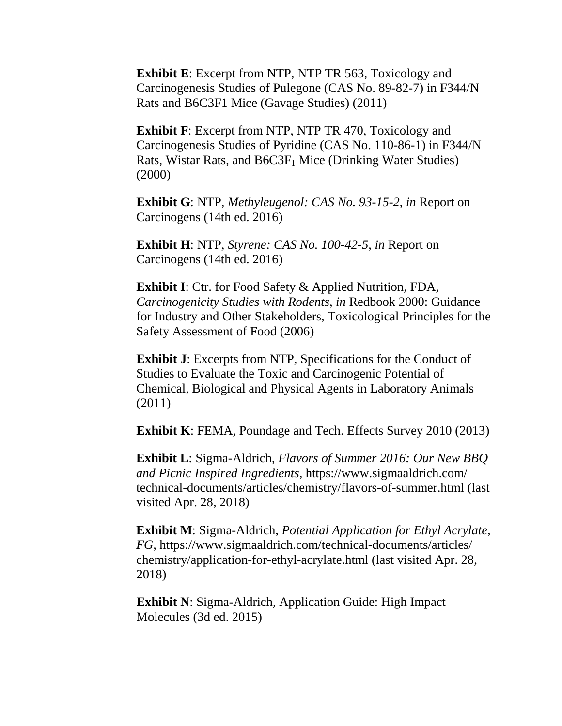**Exhibit E**: Excerpt from NTP, NTP TR 563, Toxicology and Carcinogenesis Studies of Pulegone (CAS No. 89-82-7) in F344/N Rats and B6C3F1 Mice (Gavage Studies) (2011)

**Exhibit F**: Excerpt from NTP, NTP TR 470, Toxicology and Carcinogenesis Studies of Pyridine (CAS No. 110-86-1) in F344/N Rats, Wistar Rats, and  $B6C3F<sub>1</sub>$  Mice (Drinking Water Studies) (2000)

**Exhibit G**: NTP, *Methyleugenol: CAS No. 93-15-2*, *in* Report on Carcinogens (14th ed. 2016)

**Exhibit H**: NTP, *Styrene: CAS No. 100-42-5*, *in* Report on Carcinogens (14th ed. 2016)

**Exhibit I**: Ctr. for Food Safety & Applied Nutrition, FDA, *Carcinogenicity Studies with Rodents*, *in* Redbook 2000: Guidance for Industry and Other Stakeholders, Toxicological Principles for the Safety Assessment of Food (2006)

**Exhibit J**: Excerpts from NTP, Specifications for the Conduct of Studies to Evaluate the Toxic and Carcinogenic Potential of Chemical, Biological and Physical Agents in Laboratory Animals (2011)

**Exhibit K**: FEMA, Poundage and Tech. Effects Survey 2010 (2013)

**Exhibit L**: Sigma-Aldrich, *Flavors of Summer 2016: Our New BBQ and Picnic Inspired Ingredients*, https://www.sigmaaldrich.com/ technical-documents/articles/chemistry/flavors-of-summer.html (last visited Apr. 28, 2018)

**Exhibit M**: Sigma-Aldrich, *Potential Application for Ethyl Acrylate, FG*, https://www.sigmaaldrich.com/technical-documents/articles/ chemistry/application-for-ethyl-acrylate.html (last visited Apr. 28, 2018)

**Exhibit N:** Sigma-Aldrich, Application Guide: High Impact Molecules (3d ed. 2015)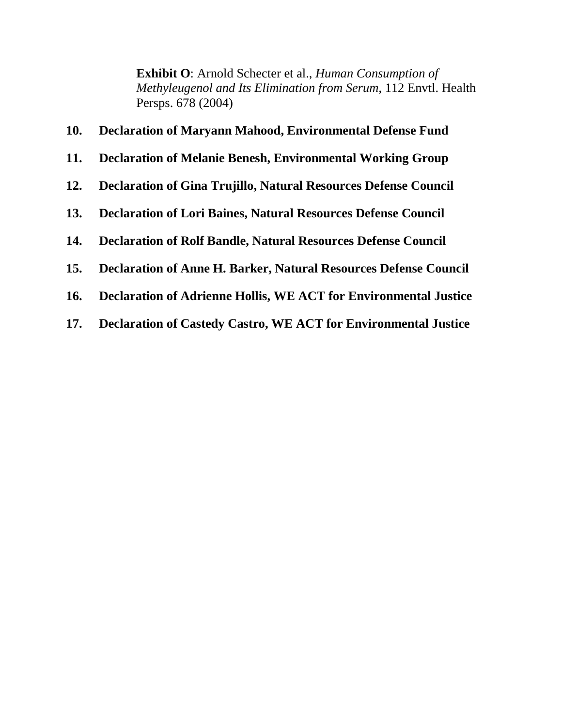**Exhibit O**: Arnold Schecter et al., *Human Consumption of Methyleugenol and Its Elimination from Serum*, 112 Envtl. Health Persps. 678 (2004)

## **10. Declaration of Maryann Mahood, Environmental Defense Fund**

- **11. Declaration of Melanie Benesh, Environmental Working Group**
- **12. Declaration of Gina Trujillo, Natural Resources Defense Council**
- **13. Declaration of Lori Baines, Natural Resources Defense Council**
- **14. Declaration of Rolf Bandle, Natural Resources Defense Council**
- **15. Declaration of Anne H. Barker, Natural Resources Defense Council**
- **16. Declaration of Adrienne Hollis, WE ACT for Environmental Justice**
- **17. Declaration of Castedy Castro, WE ACT for Environmental Justice**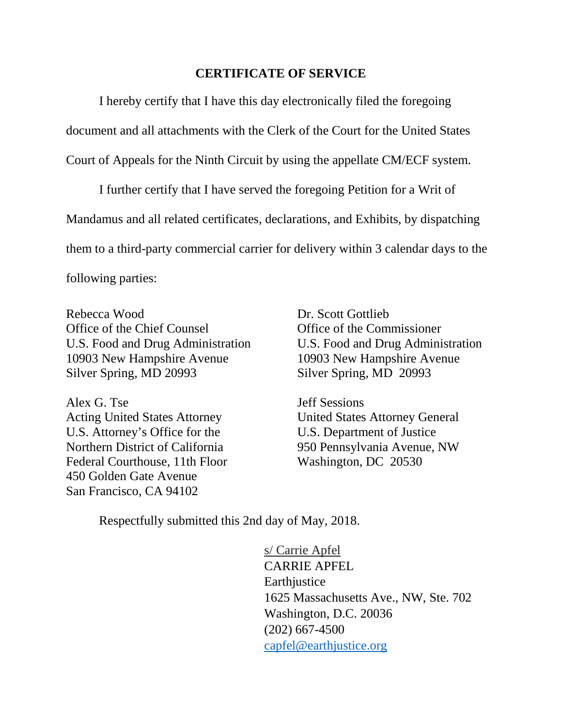### **CERTIFICATE OF SERVICE**

I hereby certify that I have this day electronically filed the foregoing document and all attachments with the Clerk of the Court for the United States Court of Appeals for the Ninth Circuit by using the appellate CM/ECF system.

I further certify that I have served the foregoing Petition for a Writ of Mandamus and all related certificates, declarations, and Exhibits, by dispatching them to a third-party commercial carrier for delivery within 3 calendar days to the following parties:

Rebecca Wood Dr. Scott Gottlieb Office of the Chief Counsel **Office** of the Commissioner U.S. Food and Drug Administration U.S. Food and Drug Administration 10903 New Hampshire Avenue 10903 New Hampshire Avenue Silver Spring, MD 20993 Silver Spring, MD 20993

Alex G. Tse Jeff Sessions Acting United States Attorney United States Attorney General U.S. Attorney's Office for the U.S. Department of Justice Northern District of California 950 Pennsylvania Avenue, NW Federal Courthouse, 11th Floor Washington, DC 20530 450 Golden Gate Avenue San Francisco, CA 94102

Respectfully submitted this 2nd day of May, 2018.

s/ Carrie Apfel CARRIE APFEL **Earthjustice** 1625 Massachusetts Ave., NW, Ste. 702 Washington, D.C. 20036 (202) 667-4500 capfel@earthjustice.org